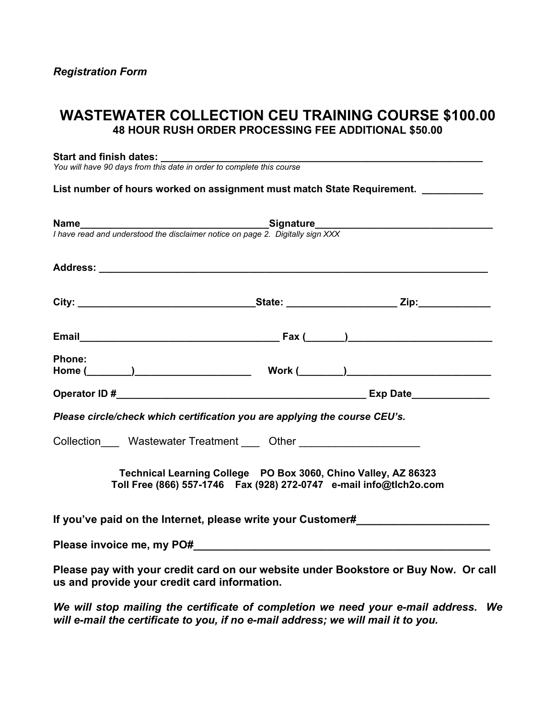# **WASTEWATER COLLECTION CEU TRAINING COURSE \$100.00 48 HOUR RUSH ORDER PROCESSING FEE ADDITIONAL \$50.00**

#### Start and finish dates:

*You will have 90 days from this date in order to complete this course*

List number of hours worked on assignment must match State Requirement. \_\_\_\_\_\_\_\_\_

|                                              | <b>Name</b><br>I have read and understood the disclaimer notice on page 2. Digitally sign XXX                                              |                                                                                     |
|----------------------------------------------|--------------------------------------------------------------------------------------------------------------------------------------------|-------------------------------------------------------------------------------------|
|                                              |                                                                                                                                            |                                                                                     |
|                                              |                                                                                                                                            |                                                                                     |
|                                              |                                                                                                                                            |                                                                                     |
| <b>Phone:</b>                                |                                                                                                                                            |                                                                                     |
|                                              |                                                                                                                                            |                                                                                     |
|                                              | Please circle/check which certification you are applying the course CEU's.                                                                 |                                                                                     |
|                                              | Collection_____ Wastewater Treatment _____ Other _______________________                                                                   |                                                                                     |
|                                              | Technical Learning College PO Box 3060, Chino Valley, AZ 86323<br>Toll Free (866) 557-1746    Fax (928) 272-0747    e-mail info@tlch2o.com |                                                                                     |
|                                              | If you've paid on the Internet, please write your Customer#                                                                                |                                                                                     |
|                                              |                                                                                                                                            |                                                                                     |
| us and provide your credit card information. |                                                                                                                                            | Please pay with your credit card on our website under Bookstore or Buy Now. Or call |

*We will stop mailing the certificate of completion we need your e-mail address. We will e-mail the certificate to you, if no e-mail address; we will mail it to you.*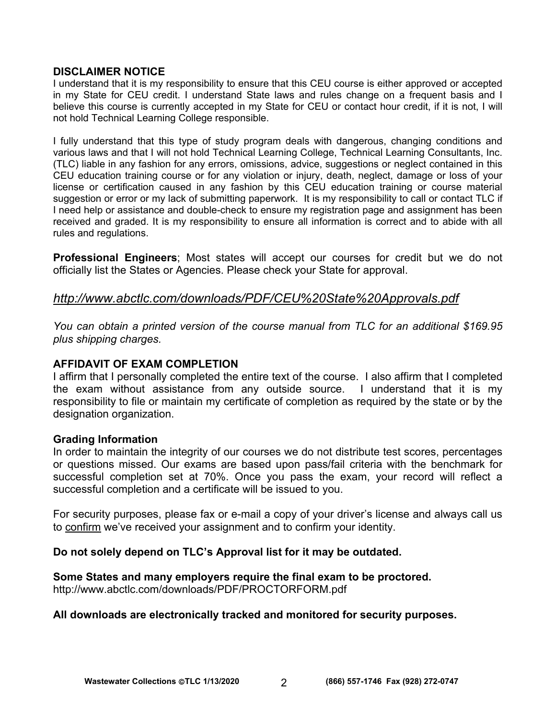#### **DISCLAIMER NOTICE**

I understand that it is my responsibility to ensure that this CEU course is either approved or accepted in my State for CEU credit. I understand State laws and rules change on a frequent basis and I believe this course is currently accepted in my State for CEU or contact hour credit, if it is not, I will not hold Technical Learning College responsible.

I fully understand that this type of study program deals with dangerous, changing conditions and various laws and that I will not hold Technical Learning College, Technical Learning Consultants, Inc. (TLC) liable in any fashion for any errors, omissions, advice, suggestions or neglect contained in this CEU education training course or for any violation or injury, death, neglect, damage or loss of your license or certification caused in any fashion by this CEU education training or course material suggestion or error or my lack of submitting paperwork. It is my responsibility to call or contact TLC if I need help or assistance and double-check to ensure my registration page and assignment has been received and graded. It is my responsibility to ensure all information is correct and to abide with all rules and regulations.

**Professional Engineers**; Most states will accept our courses for credit but we do not officially list the States or Agencies. Please check your State for approval.

# *<http://www.abctlc.com/downloads/PDF/CEU%20State%20Approvals.pdf>*

*You can obtain a printed version of the course manual from TLC for an additional \$169.95 plus shipping charges.* 

# **AFFIDAVIT OF EXAM COMPLETION**

I affirm that I personally completed the entire text of the course. I also affirm that I completed the exam without assistance from any outside source. I understand that it is my responsibility to file or maintain my certificate of completion as required by the state or by the designation organization.

#### **Grading Information**

In order to maintain the integrity of our courses we do not distribute test scores, percentages or questions missed. Our exams are based upon pass/fail criteria with the benchmark for successful completion set at 70%. Once you pass the exam, your record will reflect a successful completion and a certificate will be issued to you.

For security purposes, please fax or e-mail a copy of your driver's license and always call us to confirm we've received your assignment and to confirm your identity.

#### **Do not solely depend on TLC's Approval list for it may be outdated.**

# **Some States and many employers require the final exam to be proctored.**

<http://www.abctlc.com/downloads/PDF/PROCTORFORM.pdf>

#### **All downloads are electronically tracked and monitored for security purposes.**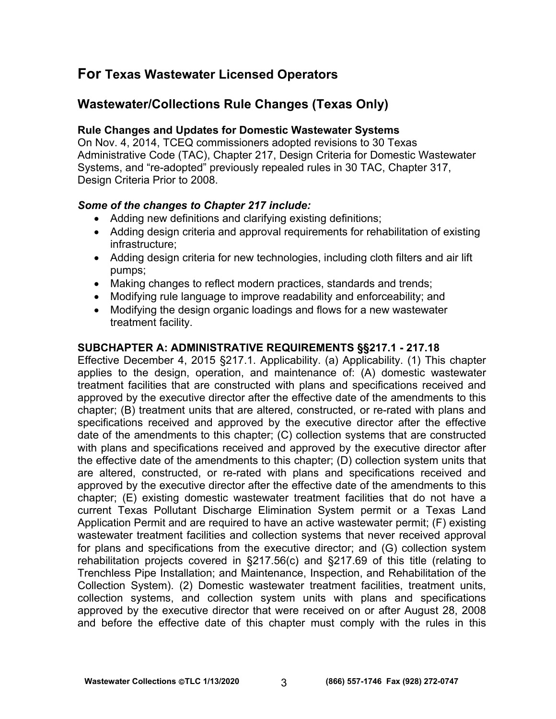# **For Texas Wastewater Licensed Operators**

# **Wastewater/Collections Rule Changes (Texas Only)**

# **Rule Changes and Updates for Domestic Wastewater Systems**

On Nov. 4, 2014, TCEQ commissioners adopted revisions to 30 Texas Administrative Code (TAC), Chapter 217, Design Criteria for Domestic Wastewater Systems, and "re-adopted" previously repealed rules in 30 TAC, Chapter 317, Design Criteria Prior to 2008.

# *Some of the changes to Chapter 217 include:*

- Adding new definitions and clarifying existing definitions;
- Adding design criteria and approval requirements for rehabilitation of existing infrastructure;
- Adding design criteria for new technologies, including cloth filters and air lift pumps;
- Making changes to reflect modern practices, standards and trends;
- Modifying rule language to improve readability and enforceability; and
- Modifying the design organic loadings and flows for a new wastewater treatment facility.

# **SUBCHAPTER A: ADMINISTRATIVE REQUIREMENTS §§217.1 - 217.18**

Effective December 4, 2015 §217.1. Applicability. (a) Applicability. (1) This chapter applies to the design, operation, and maintenance of: (A) domestic wastewater treatment facilities that are constructed with plans and specifications received and approved by the executive director after the effective date of the amendments to this chapter; (B) treatment units that are altered, constructed, or re-rated with plans and specifications received and approved by the executive director after the effective date of the amendments to this chapter; (C) collection systems that are constructed with plans and specifications received and approved by the executive director after the effective date of the amendments to this chapter; (D) collection system units that are altered, constructed, or re-rated with plans and specifications received and approved by the executive director after the effective date of the amendments to this chapter; (E) existing domestic wastewater treatment facilities that do not have a current Texas Pollutant Discharge Elimination System permit or a Texas Land Application Permit and are required to have an active wastewater permit; (F) existing wastewater treatment facilities and collection systems that never received approval for plans and specifications from the executive director; and (G) collection system rehabilitation projects covered in §217.56(c) and §217.69 of this title (relating to Trenchless Pipe Installation; and Maintenance, Inspection, and Rehabilitation of the Collection System). (2) Domestic wastewater treatment facilities, treatment units, collection systems, and collection system units with plans and specifications approved by the executive director that were received on or after August 28, 2008 and before the effective date of this chapter must comply with the rules in this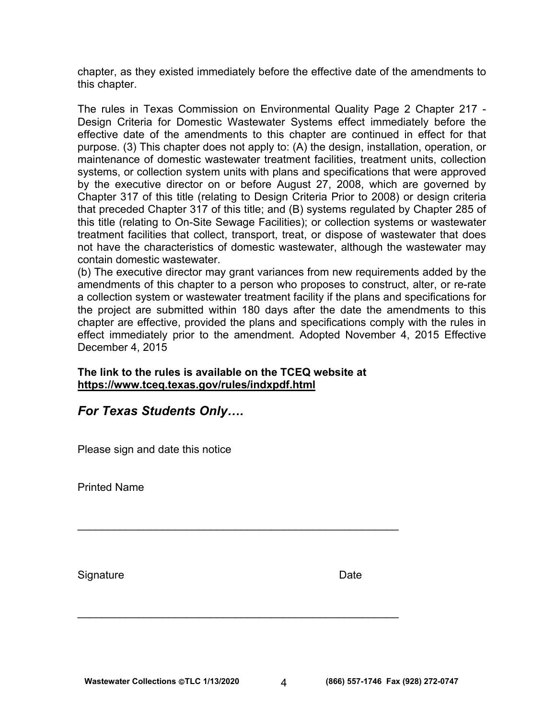chapter, as they existed immediately before the effective date of the amendments to this chapter.

The rules in Texas Commission on Environmental Quality Page 2 Chapter 217 - Design Criteria for Domestic Wastewater Systems effect immediately before the effective date of the amendments to this chapter are continued in effect for that purpose. (3) This chapter does not apply to: (A) the design, installation, operation, or maintenance of domestic wastewater treatment facilities, treatment units, collection systems, or collection system units with plans and specifications that were approved by the executive director on or before August 27, 2008, which are governed by Chapter 317 of this title (relating to Design Criteria Prior to 2008) or design criteria that preceded Chapter 317 of this title; and (B) systems regulated by Chapter 285 of this title (relating to On-Site Sewage Facilities); or collection systems or wastewater treatment facilities that collect, transport, treat, or dispose of wastewater that does not have the characteristics of domestic wastewater, although the wastewater may contain domestic wastewater.

(b) The executive director may grant variances from new requirements added by the amendments of this chapter to a person who proposes to construct, alter, or re-rate a collection system or wastewater treatment facility if the plans and specifications for the project are submitted within 180 days after the date the amendments to this chapter are effective, provided the plans and specifications comply with the rules in effect immediately prior to the amendment. Adopted November 4, 2015 Effective December 4, 2015

**The link to the rules is available on the TCEQ website at <https://www.tceq.texas.gov/rules/indxpdf.html>**

 $\mathcal{L}_\text{max}$  , and the contract of the contract of the contract of the contract of the contract of the contract of the contract of the contract of the contract of the contract of the contract of the contract of the contr

\_\_\_\_\_\_\_\_\_\_\_\_\_\_\_\_\_\_\_\_\_\_\_\_\_\_\_\_\_\_\_\_\_\_\_\_\_\_\_\_\_\_\_\_\_\_\_\_\_\_\_\_\_

# *For Texas Students Only….*

Please sign and date this notice

Printed Name

Signature **Date**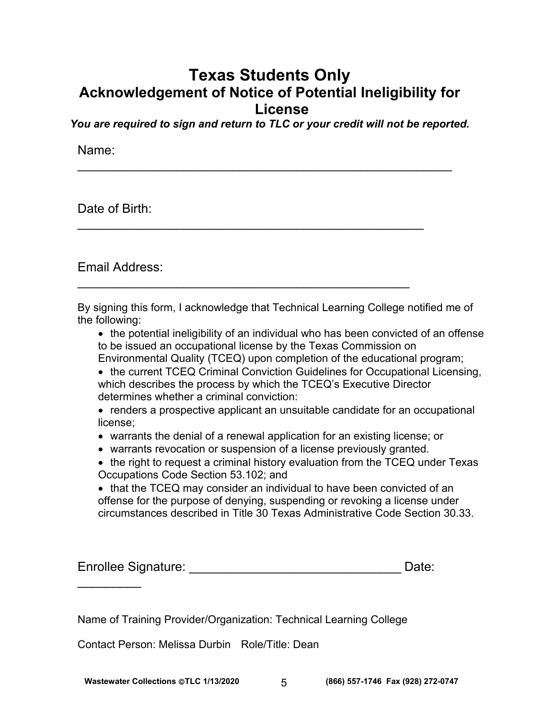# **Texas Students Only Acknowledgement of Notice of Potential Ineligibility for License**

*You are required to sign and return to TLC or your credit will not be reported.* 

 $\mathcal{L}_\text{max}$  , and the contract of the contract of the contract of the contract of the contract of the contract of the contract of the contract of the contract of the contract of the contract of the contract of the contr

 $\mathcal{L}_\text{max}$  , and the contract of the contract of the contract of the contract of the contract of the contract of the contract of the contract of the contract of the contract of the contract of the contract of the contr

 $\mathcal{L}_\text{max}$  , and the contract of the contract of the contract of the contract of the contract of the contract of the contract of the contract of the contract of the contract of the contract of the contract of the contr

Name:

Date of Birth:

Email Address:

By signing this form, I acknowledge that Technical Learning College notified me of the following:

• the potential ineligibility of an individual who has been convicted of an offense to be issued an occupational license by the Texas Commission on Environmental Quality (TCEQ) upon completion of the educational program;

• the current TCEQ Criminal Conviction Guidelines for Occupational Licensing, which describes the process by which the TCEQ's Executive Director determines whether a criminal conviction:

• renders a prospective applicant an unsuitable candidate for an occupational license;

- warrants the denial of a renewal application for an existing license; or
- warrants revocation or suspension of a license previously granted.
- the right to request a criminal history evaluation from the TCEQ under Texas Occupations Code Section 53.102; and

• that the TCEQ may consider an individual to have been convicted of an offense for the purpose of denying, suspending or revoking a license under circumstances described in Title 30 Texas Administrative Code Section 30.33.

| <b>Enrollee Signature:</b> | Date: |
|----------------------------|-------|
|                            |       |

Name of Training Provider/Organization: Technical Learning College

Contact Person: Melissa Durbin Role/Title: Dean

 $\frac{1}{2}$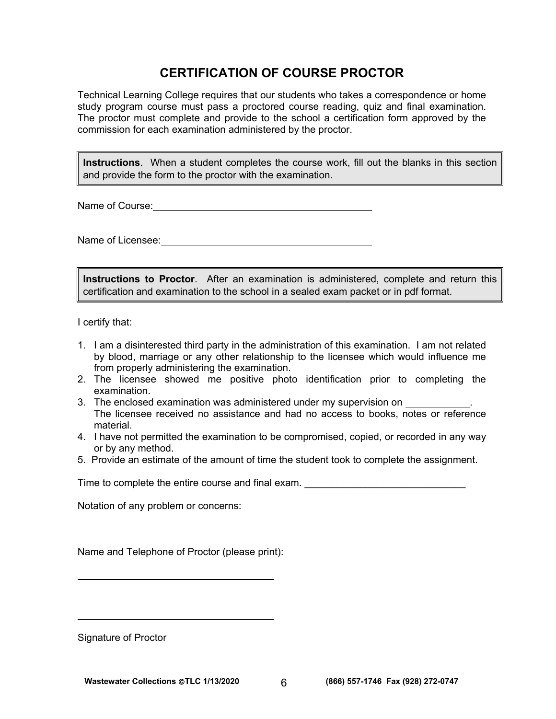# **CERTIFICATION OF COURSE PROCTOR**

Technical Learning College requires that our students who takes a correspondence or home study program course must pass a proctored course reading, quiz and final examination. The proctor must complete and provide to the school a certification form approved by the commission for each examination administered by the proctor.

**Instructions**. When a student completes the course work, fill out the blanks in this section and provide the form to the proctor with the examination.

Name of Course: <u>shipped and the state of the state of the state of the state of the state of the state of the state of the state of the state of the state of the state of the state of the state of the state of the state o</u>

Name of Licensee: **Name of Licensee:** 

**Instructions to Proctor**. After an examination is administered, complete and return this certification and examination to the school in a sealed exam packet or in pdf format.

I certify that:

- 1. I am a disinterested third party in the administration of this examination. I am not related by blood, marriage or any other relationship to the licensee which would influence me from properly administering the examination.
- 2. The licensee showed me positive photo identification prior to completing the examination.
- 3. The enclosed examination was administered under my supervision on \_\_\_\_ The licensee received no assistance and had no access to books, notes or reference material.
- 4. I have not permitted the examination to be compromised, copied, or recorded in any way or by any method.
- 5. Provide an estimate of the amount of time the student took to complete the assignment.

Time to complete the entire course and final exam.  $\Box$ 

Notation of any problem or concerns:

Name and Telephone of Proctor (please print):

Signature of Proctor

 $\overline{a}$ 

 $\overline{a}$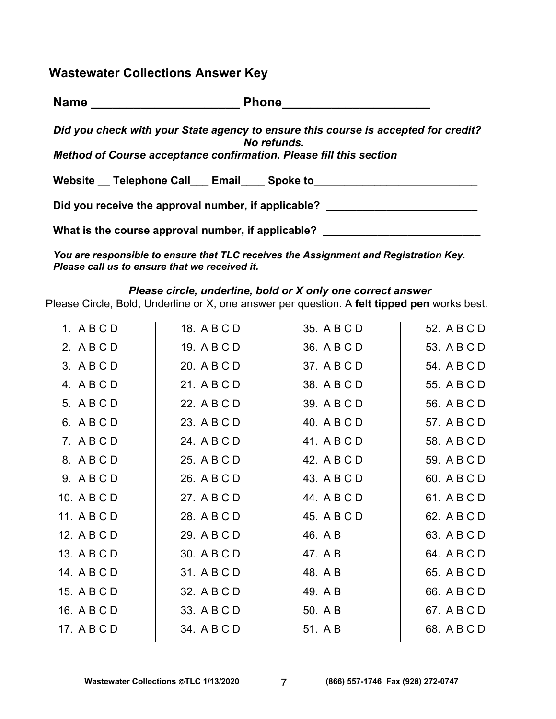**Wastewater Collections Answer Key** 

Name **Name Phone Phone** 

*Did you check with your State agency to ensure this course is accepted for credit? No refunds.* 

*Method of Course acceptance confirmation. Please fill this section* 

Website Telephone Call Email Spoke to

Did you receive the approval number, if applicable?

What is the course approval number, if applicable? \_\_\_\_\_\_\_\_\_\_\_\_\_\_\_\_\_\_\_\_\_\_\_\_\_\_\_\_\_

*You are responsible to ensure that TLC receives the Assignment and Registration Key. Please call us to ensure that we received it.* 

#### *Please circle, underline, bold or X only one correct answer*

Please Circle, Bold, Underline or X, one answer per question. A **felt tipped pen** works best.

| 1. ABCD     | 18. A B C D | 35. A B C D | 52. A B C D |
|-------------|-------------|-------------|-------------|
| 2. ABCD     | 19. A B C D | 36. A B C D | 53. A B C D |
| 3. ABCD     | 20. A B C D | 37. A B C D | 54. A B C D |
| 4. ABCD     | 21. A B C D | 38. A B C D | 55. A B C D |
| 5. A B C D  | 22. A B C D | 39. A B C D | 56. A B C D |
| 6. ABCD     | 23. A B C D | 40. A B C D | 57. A B C D |
| 7. ABCD     | 24. A B C D | 41. A B C D | 58. A B C D |
| 8. ABCD     | 25. A B C D | 42. A B C D | 59. A B C D |
| 9. ABCD     | 26. A B C D | 43. A B C D | 60. A B C D |
| 10. A B C D | 27. A B C D | 44. A B C D | 61. A B C D |
| 11. A B C D | 28. A B C D | 45. A B C D | 62. A B C D |
| 12. A B C D | 29. A B C D | 46. A B     | 63. A B C D |
| 13. A B C D | 30. A B C D | 47. A B     | 64. A B C D |
| 14. A B C D | 31. A B C D | 48. A B     | 65. A B C D |
| 15. A B C D | 32. A B C D | 49. A B     | 66. A B C D |
| 16. A B C D | 33. A B C D | 50. A B     | 67. A B C D |
| 17. A B C D | 34. A B C D | 51. A B     | 68. A B C D |
|             |             |             |             |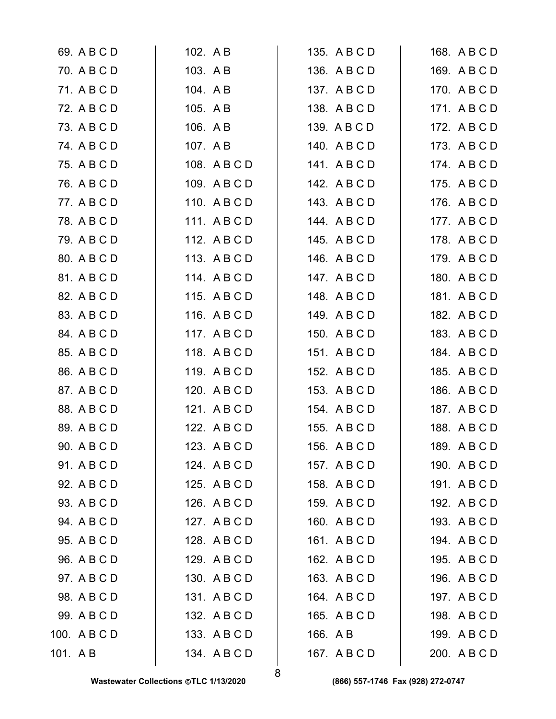|         | 69. A B C D  | 102. A B     | 135. A B C D | 168. A B C D |
|---------|--------------|--------------|--------------|--------------|
|         | 70. A B C D  | 103. A B     | 136. A B C D | 169. A B C D |
|         | 71. A B C D  | 104. A B     | 137. A B C D | 170. A B C D |
|         | 72. A B C D  | 105. A B     | 138. A B C D | 171. A B C D |
|         | 73. A B C D  | 106. A B     | 139. A B C D | 172. A B C D |
|         | 74. A B C D  | 107. AB      | 140. ABCD    | 173. ABCD    |
|         | 75. A B C D  | 108. A B C D | 141. ABCD    | 174. A B C D |
|         | 76. A B C D  | 109. A B C D | 142. A B C D | 175. A B C D |
|         | 77. A B C D  | 110. A B C D | 143. ABCD    | 176. A B C D |
|         | 78. A B C D  | 111. ABCD    | 144. ABCD    | 177. A B C D |
|         | 79. A B C D  | 112. ABCD    | 145. A B C D | 178. ABCD    |
|         | 80. A B C D  | 113. A B C D | 146. A B C D | 179. A B C D |
|         | 81. A B C D  | 114. ABCD    | 147. A B C D | 180. A B C D |
|         | 82. A B C D  | 115. ABCD    | 148. A B C D | 181. A B C D |
|         | 83. A B C D  | 116. A B C D | 149. A B C D | 182. A B C D |
|         | 84. A B C D  | 117. ABCD    | 150. A B C D | 183. A B C D |
|         | 85. A B C D  | 118. ABCD    | 151. ABCD    | 184. A B C D |
|         | 86. A B C D  | 119. ABCD    | 152. A B C D | 185. A B C D |
|         | 87. A B C D  | 120. A B C D | 153. A B C D | 186. A B C D |
|         | 88. A B C D  | 121. A B C D | 154. A B C D | 187. A B C D |
|         | 89. A B C D  | 122. A B C D | 155. A B C D | 188. ABCD    |
|         | 90. A B C D  | 123. A B C D | 156. A B C D | 189. ABCD    |
|         | 91. A B C D  | 124. A B C D | 157. A B C D | 190. A B C D |
|         | 92. A B C D  | 125. A B C D | 158. A B C D | 191. ABCD    |
|         | 93. A B C D  | 126. A B C D | 159. ABCD    | 192. ABCD    |
|         | 94. A B C D  | 127. A B C D | 160. A B C D | 193. A B C D |
|         | 95. A B C D  | 128. A B C D | 161. ABCD    | 194. ABCD    |
|         | 96. A B C D  | 129. A B C D | 162. A B C D | 195. A B C D |
|         | 97. A B C D  | 130. ABCD    | 163. A B C D | 196. A B C D |
|         | 98. A B C D  | 131. ABCD    | 164. A B C D | 197. A B C D |
|         | 99. A B C D  | 132. A B C D | 165. A B C D | 198. A B C D |
|         | 100. A B C D | 133. A B C D | 166. A B     | 199. A B C D |
| 101. AB |              | 134. ABCD    | 167. A B C D | 200. A B C D |
|         |              |              |              |              |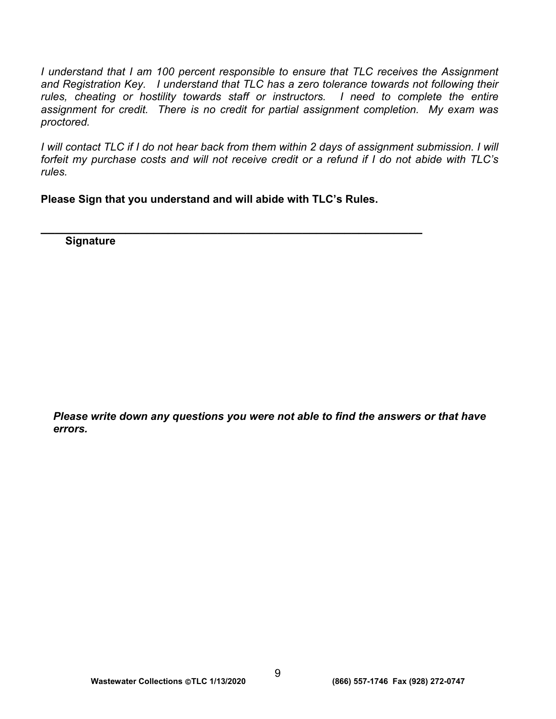*I* understand that *I* am 100 percent responsible to ensure that TLC receives the Assignment *and Registration Key. I understand that TLC has a zero tolerance towards not following their*  rules, cheating or hostility towards staff or instructors. I need to complete the entire *assignment for credit. There is no credit for partial assignment completion. My exam was proctored.* 

*I* will contact TLC if I do not hear back from them within 2 days of assignment submission. I will *forfeit my purchase costs and will not receive credit or a refund if I do not abide with TLC's rules.* 

**Please Sign that you understand and will abide with TLC's Rules.** 

**\_\_\_\_\_\_\_\_\_\_\_\_\_\_\_\_\_\_\_\_\_\_\_\_\_\_\_\_\_\_\_\_\_\_\_\_\_\_\_\_\_\_\_\_\_\_\_\_\_\_\_\_\_\_ Signature** 

*Please write down any questions you were not able to find the answers or that have errors.*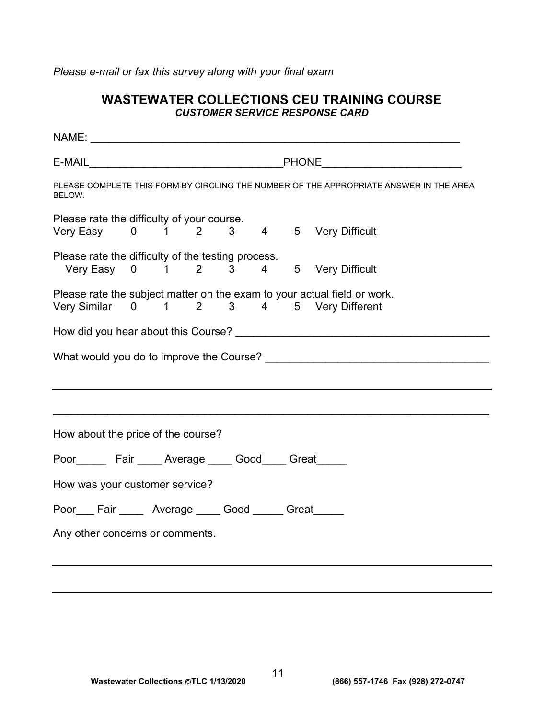*Please e-mail or fax this survey along with your final exam* 

# **WASTEWATER COLLECTIONS CEU TRAINING COURSE**  *CUSTOMER SERVICE RESPONSE CARD*

| E-MAIL PHONE PHONE PHONE                                                                                            |  |  |  |  |  |  |  |
|---------------------------------------------------------------------------------------------------------------------|--|--|--|--|--|--|--|
| PLEASE COMPLETE THIS FORM BY CIRCLING THE NUMBER OF THE APPROPRIATE ANSWER IN THE AREA<br>BELOW.                    |  |  |  |  |  |  |  |
| Please rate the difficulty of your course.<br>Very Easy 0 1 2 3 4 5 Very Difficult                                  |  |  |  |  |  |  |  |
| Please rate the difficulty of the testing process.<br>Very Easy 0 1 2 3 4 5 Very Difficult                          |  |  |  |  |  |  |  |
| Please rate the subject matter on the exam to your actual field or work.<br>Very Similar 0 1 2 3 4 5 Very Different |  |  |  |  |  |  |  |
|                                                                                                                     |  |  |  |  |  |  |  |
|                                                                                                                     |  |  |  |  |  |  |  |
|                                                                                                                     |  |  |  |  |  |  |  |
| How about the price of the course?                                                                                  |  |  |  |  |  |  |  |
| Poor________ Fair _____ Average _____ Good_____ Great______                                                         |  |  |  |  |  |  |  |
| How was your customer service?                                                                                      |  |  |  |  |  |  |  |
| Poor Fair Average Good Great                                                                                        |  |  |  |  |  |  |  |
| Any other concerns or comments.                                                                                     |  |  |  |  |  |  |  |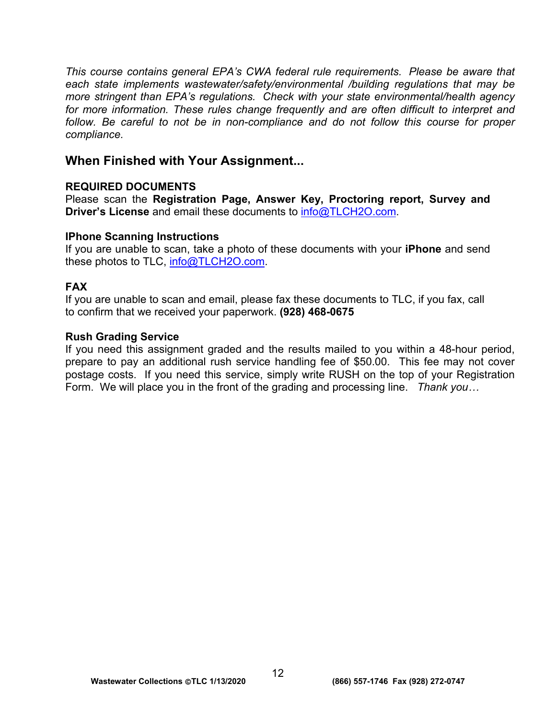*This course contains general EPA's CWA federal rule requirements. Please be aware that each state implements wastewater/safety/environmental /building regulations that may be more stringent than EPA's regulations. Check with your state environmental/health agency for more information. These rules change frequently and are often difficult to interpret and follow. Be careful to not be in non-compliance and do not follow this course for proper compliance.* 

# **When Finished with Your Assignment...**

# **REQUIRED DOCUMENTS**

Please scan the **Registration Page, Answer Key, Proctoring report, Survey and Driver's License** and email these documents to [info@TLCH2O.com.](mailto:info@TLCH2O.com) 

# **IPhone Scanning Instructions**

If you are unable to scan, take a photo of these documents with your **iPhone** and send these photos to TLC, info@TLCH2O.com.

# **FAX**

If you are unable to scan and email, please fax these documents to TLC, if you fax, call to confirm that we received your paperwork. **(928) 468-0675** 

# **Rush Grading Service**

If you need this assignment graded and the results mailed to you within a 48-hour period, prepare to pay an additional rush service handling fee of \$50.00. This fee may not cover postage costs. If you need this service, simply write RUSH on the top of your Registration Form. We will place you in the front of the grading and processing line. *Thank you…*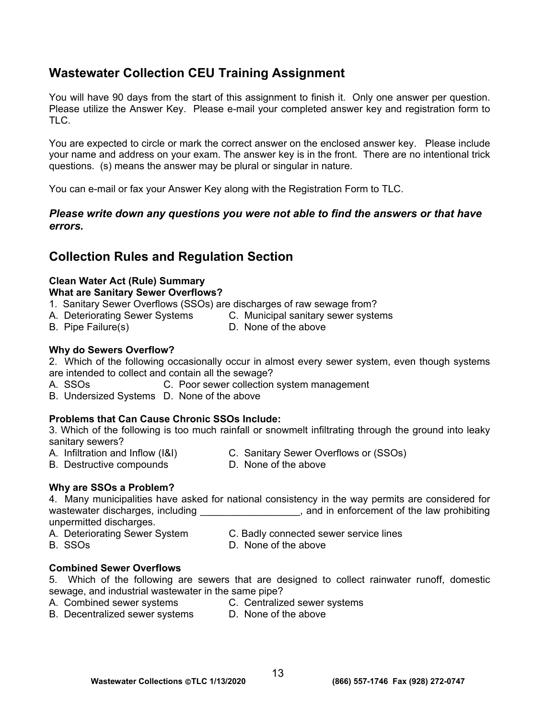# **Wastewater Collection CEU Training Assignment**

You will have 90 days from the start of this assignment to finish it. Only one answer per question. Please utilize the Answer Key. Please e-mail your completed answer key and registration form to TLC.

You are expected to circle or mark the correct answer on the enclosed answer key. Please include your name and address on your exam. The answer key is in the front. There are no intentional trick questions. (s) means the answer may be plural or singular in nature.

You can e-mail or fax your Answer Key along with the Registration Form to TLC.

# *Please write down any questions you were not able to find the answers or that have errors.*

# **Collection Rules and Regulation Section**

# **Clean Water Act (Rule) Summary**

### **What are Sanitary Sewer Overflows?**

- 1. Sanitary Sewer Overflows (SSOs) are discharges of raw sewage from?
- A. Deteriorating Sewer Systems C. Municipal sanitary sewer systems
- B. Pipe Failure(s) **D.** None of the above
- 

# **Why do Sewers Overflow?**

2. Which of the following occasionally occur in almost every sewer system, even though systems are intended to collect and contain all the sewage?

- A. SSOs **C. Poor sewer collection system management**
- B. Undersized Systems D. None of the above

# **Problems that Can Cause Chronic SSOs Include:**

3. Which of the following is too much rainfall or snowmelt infiltrating through the ground into leaky sanitary sewers?

- A. Infiltration and Inflow (I&I) C. Sanitary Sewer Overflows or (SSOs)<br>B. Destructive compounds D. None of the above B. Destructive compounds
	-

#### **Why are SSOs a Problem?**

4. Many municipalities have asked for national consistency in the way permits are considered for wastewater discharges, including \_\_\_\_\_\_\_\_\_\_\_\_\_\_\_\_\_\_, and in enforcement of the law prohibiting unpermitted discharges.

- A. Deteriorating Sewer System C. Badly connected sewer service lines
- 
- B. SSOs D. None of the above

#### **Combined Sewer Overflows**

- 5. Which of the following are sewers that are designed to collect rainwater runoff, domestic sewage, and industrial wastewater in the same pipe?
- A. Combined sewer systems **C. Centralized sewer systems**
- B. Decentralized sewer systems D. None of the above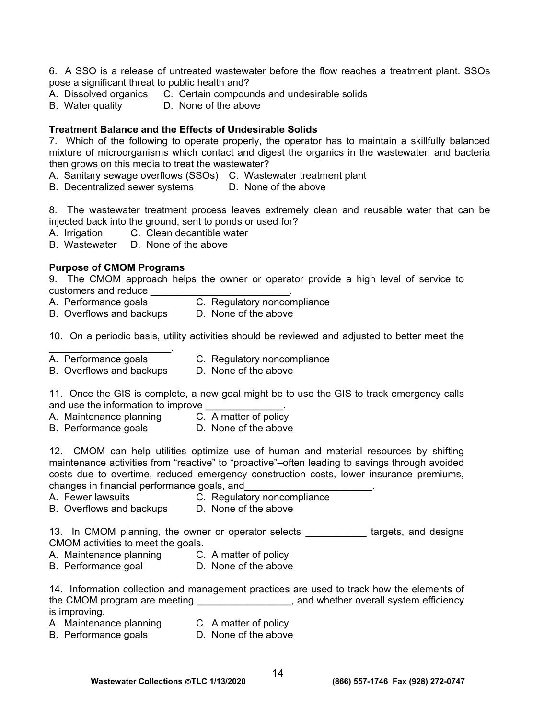6. A SSO is a release of untreated wastewater before the flow reaches a treatment plant. SSOs pose a significant threat to public health and?

- A. Dissolved organics C. Certain compounds and undesirable solids
- B. Water quality D. None of the above

#### **Treatment Balance and the Effects of Undesirable Solids**

7. Which of the following to operate properly, the operator has to maintain a skillfully balanced mixture of microorganisms which contact and digest the organics in the wastewater, and bacteria then grows on this media to treat the wastewater?

A. Sanitary sewage overflows (SSOs) C. Wastewater treatment plant

B. Decentralized sewer systems D. None of the above

8. The wastewater treatment process leaves extremely clean and reusable water that can be injected back into the ground, sent to ponds or used for?

A. Irrigation C. Clean decantible water

B. Wastewater D. None of the above

#### **Purpose of CMOM Programs**

9. The CMOM approach helps the owner or operator provide a high level of service to customers and reduce \_\_\_\_\_\_\_\_\_\_\_\_\_\_\_\_\_\_\_\_\_\_\_\_\_\_\_\_.

- A. Performance goals **C. Regulatory noncompliance**
- B. Overflows and backups D. None of the above

10. On a periodic basis, utility activities should be reviewed and adjusted to better meet the

A. Performance goals **C. Regulatory noncompliance** 

 $\mathcal{L}_\text{max}$  , where  $\mathcal{L}_\text{max}$ 

B. Overflows and backups D. None of the above

11. Once the GIS is complete, a new goal might be to use the GIS to track emergency calls and use the information to improve

- A. Maintenance planning C. A matter of policy
- B. Performance goals **D.** None of the above

12. CMOM can help utilities optimize use of human and material resources by shifting maintenance activities from "reactive" to "proactive"–often leading to savings through avoided costs due to overtime, reduced emergency construction costs, lower insurance premiums, changes in financial performance goals, and\_\_\_\_\_\_\_\_\_\_\_\_\_\_\_\_\_\_\_\_\_\_\_.

- 
- A. Fewer lawsuits C. Regulatory noncompliance
- B. Overflows and backups D. None of the above

13. In CMOM planning, the owner or operator selects \_\_\_\_\_\_\_\_\_\_\_ targets, and designs CMOM activities to meet the goals.

- A. Maintenance planning C. A matter of policy
- B. Performance goal D. None of the above

14. Information collection and management practices are used to track how the elements of the CMOM program are meeting \_\_\_\_\_\_\_\_\_\_\_\_\_\_\_\_\_\_, and whether overall system efficiency is improving.

- A. Maintenance planning C. A matter of policy
	-
- B. Performance goals **D.** None of the above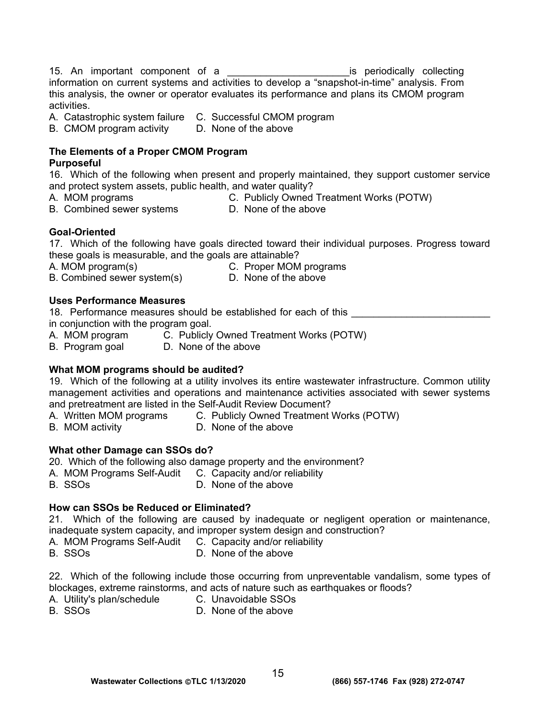15. An important component of a \_\_\_\_\_\_\_\_\_\_\_\_\_\_\_\_\_\_\_\_\_\_is periodically collecting information on current systems and activities to develop a "snapshot-in-time" analysis. From this analysis, the owner or operator evaluates its performance and plans its CMOM program activities.

A. Catastrophic system failure C. Successful CMOM program

B. CMOM program activity D. None of the above

# **The Elements of a Proper CMOM Program**

#### **Purposeful**

16. Which of the following when present and properly maintained, they support customer service and protect system assets, public health, and water quality?

- 
- A. MOM programs C. Publicly Owned Treatment Works (POTW)
- A. MOM programs C. Fublicly Owned its<br>B. Combined sewer systems B. None of the above
	-

# **Goal-Oriented**

17. Which of the following have goals directed toward their individual purposes. Progress toward these goals is measurable, and the goals are attainable?

A. MOM program(s) C. Proper MOM programs

B. Combined sewer system(s) D. None of the above

# **Uses Performance Measures**

18. Performance measures should be established for each of this in conjunction with the program goal.

- A. MOM program  $\overline{C}$ . Publicly Owned Treatment Works (POTW)
- B. Program goal D. None of the above

# **What MOM programs should be audited?**

19. Which of the following at a utility involves its entire wastewater infrastructure. Common utility management activities and operations and maintenance activities associated with sewer systems and pretreatment are listed in the Self-Audit Review Document?

- A. Written MOM programs C. Publicly Owned Treatment Works (POTW)
- B. MOM activity **D.** None of the above

# **What other Damage can SSOs do?**

20. Which of the following also damage property and the environment?

- A. MOM Programs Self-Audit C. Capacity and/or reliability
- B. SSOs D. None of the above

# **How can SSOs be Reduced or Eliminated?**

21. Which of the following are caused by inadequate or negligent operation or maintenance, inadequate system capacity, and improper system design and construction?

- A. MOM Programs Self-Audit C. Capacity and/or reliability
- B. SSOs D. None of the above

22. Which of the following include those occurring from unpreventable vandalism, some types of blockages, extreme rainstorms, and acts of nature such as earthquakes or floods?

- A. Utility's plan/schedule C. Unavoidable SSOs
	-
- B. SSOs D. None of the above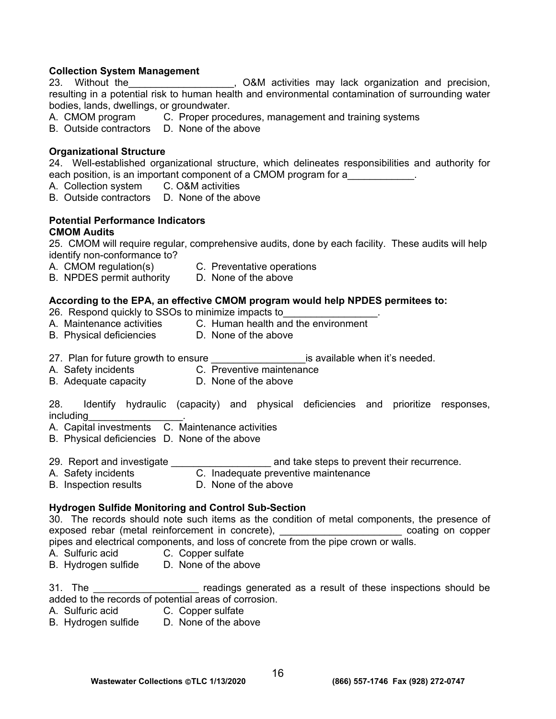#### **Collection System Management**

23. Without the The Latter Solid Communities may lack organization and precision, resulting in a potential risk to human health and environmental contamination of surrounding water bodies, lands, dwellings, or groundwater.

- A. CMOM program C. Proper procedures, management and training systems
- B. Outside contractors D. None of the above

#### **Organizational Structure**

24. Well-established organizational structure, which delineates responsibilities and authority for each position, is an important component of a CMOM program for a

- A. Collection system C. O&M activities
- B. Outside contractors D. None of the above

#### **Potential Performance Indicators CMOM Audits**

25. CMOM will require regular, comprehensive audits, done by each facility. These audits will help identify non-conformance to?

- A. CMOM regulation(s) C. Preventative operations
- B. NPDES permit authority D. None of the above

#### **According to the EPA, an effective CMOM program would help NPDES permitees to:**

26. Respond quickly to SSOs to minimize impacts to

- A. Maintenance activities C. Human health and the environment
- B. Physical deficiencies D. None of the above
- 27. Plan for future growth to ensure the same series available when it's needed.
- A. Safety incidents C. Preventive maintenance
- B. Adequate capacity **D. None of the above**

28. Identify hydraulic (capacity) and physical deficiencies and prioritize responses, including\_\_\_\_\_\_\_\_\_\_\_\_\_\_\_\_\_.

- A. Capital investments C. Maintenance activities
- B. Physical deficiencies D. None of the above

29. Report and investigate **Exercise 20. Report and investigate** and take steps to prevent their recurrence.

- A. Safety incidents C. Inadequate preventive maintenance
- B. Inspection results **D.** None of the above

#### **Hydrogen Sulfide Monitoring and Control Sub-Section**

30. The records should note such items as the condition of metal components, the presence of exposed rebar (metal reinforcement in concrete), \_\_\_\_\_\_\_\_\_\_\_\_\_\_\_\_\_\_\_\_\_\_ coating on copper pipes and electrical components, and loss of concrete from the pipe crown or walls.

- A. Sulfuric acid C. Copper sulfate
- B. Hydrogen sulfide D. None of the above

31. The **Example 20** Freadings generated as a result of these inspections should be added to the records of potential areas of corrosion.

- A. Sulfuric acid C. Copper sulfate
- B. Hydrogen sulfide D. None of the above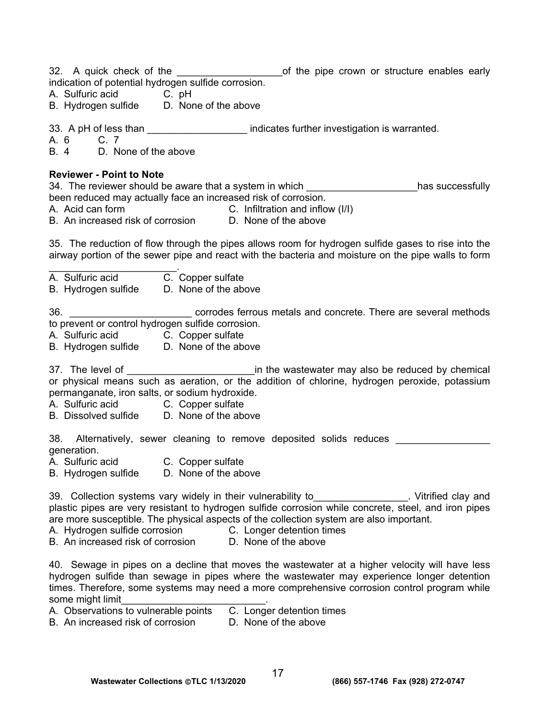| 32. A quick check of the                                        | of the pipe crown or structure enables early |
|-----------------------------------------------------------------|----------------------------------------------|
| indication of potential hydrogen sulfide corrosion.             |                                              |
| A Sulfuric acid<br>$\overline{C}$ $\overline{C}$ $\overline{C}$ |                                              |

- Sulfuric acid
- B. Hydrogen sulfide D. None of the above

33. A pH of less than \_\_\_\_\_\_\_\_\_\_\_\_\_\_\_\_\_\_\_\_\_\_ indicates further investigation is warranted.<br>A. 6 C. 7

A. 6

B. 4 D. None of the above

#### **Reviewer - Point to Note**

34. The reviewer should be aware that a system in which \_\_\_\_\_\_\_\_\_\_\_\_\_\_\_\_\_\_\_\_has successfully been reduced may actually face an increased risk of corrosion.

- 
- A. Acid can form C. Infiltration and inflow (I/I)

B. An increased risk of corrosion D. None of the above

35. The reduction of flow through the pipes allows room for hydrogen sulfide gases to rise into the airway portion of the sewer pipe and react with the bacteria and moisture on the pipe walls to form

 $\mathcal{L}_\text{max}$  and  $\mathcal{L}_\text{max}$  and  $\mathcal{L}_\text{max}$ A. Sulfuric acid C. Copper sulfate

B. Hydrogen sulfide D. None of the above

36. \_\_\_\_\_\_\_\_\_\_\_\_\_\_\_\_\_\_\_\_\_\_ corrodes ferrous metals and concrete. There are several methods to prevent or control hydrogen sulfide corrosion.

- A. Sulfuric acid C. Copper sulfate
- B. Hydrogen sulfide D. None of the above

37. The level of \_\_\_\_\_\_\_\_\_\_\_\_\_\_\_\_\_\_\_\_\_\_\_in the wastewater may also be reduced by chemical or physical means such as aeration, or the addition of chlorine, hydrogen peroxide, potassium permanganate, iron salts, or sodium hydroxide.

- A. Sulfuric acid C. Copper sulfate
- B. Dissolved sulfide D. None of the above

38. Alternatively, sewer cleaning to remove deposited solids reduces generation.

- A. Sulfuric acid C. Copper sulfate
- B. Hydrogen sulfide D. None of the above

39. Collection systems vary widely in their vulnerability to **Collection Collection**. Vitrified clay and plastic pipes are very resistant to hydrogen sulfide corrosion while concrete, steel, and iron pipes are more susceptible. The physical aspects of the collection system are also important.

A. Hydrogen sulfide corrosion **C. Longer detention times** 

B. An increased risk of corrosion D. None of the above

40. Sewage in pipes on a decline that moves the wastewater at a higher velocity will have less hydrogen sulfide than sewage in pipes where the wastewater may experience longer detention times. Therefore, some systems may need a more comprehensive corrosion control program while some might limit

- A. Observations to vulnerable points C. Longer detention times
- B. An increased risk of corrosion D. None of the above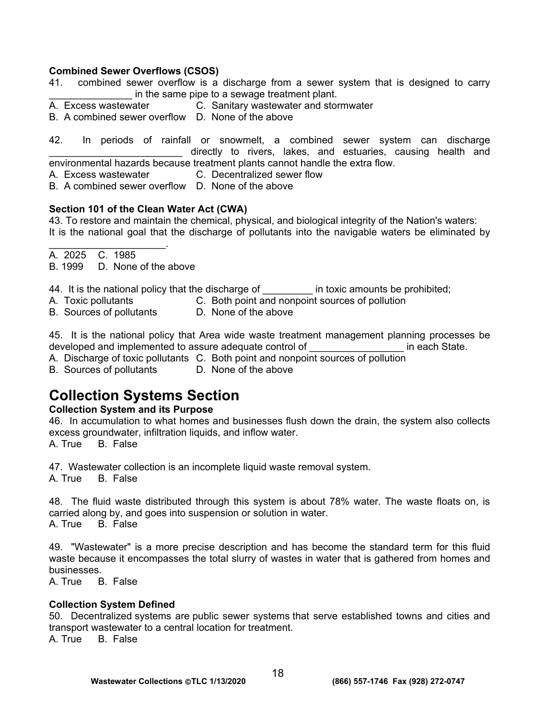#### **Combined Sewer Overflows (CSOS)**

- 41. combined sewer overflow is a discharge from a sewer system that is designed to carry in the same pipe to a sewage treatment plant.
- A. Excess wastewater C. Sanitary wastewater and stormwater
- B. A combined sewer overflow D. None of the above

42. In periods of rainfall or snowmelt, a combined sewer system can discharge directly to rivers, lakes, and estuaries, causing health and environmental hazards because treatment plants cannot handle the extra flow.

A. Excess wastewater C. Decentralized sewer flow

B. A combined sewer overflow D. None of the above

#### **Section 101 of the Clean Water Act (CWA)**

43. To restore and maintain the chemical, physical, and biological integrity of the Nation's waters: It is the national goal that the discharge of pollutants into the navigable waters be eliminated by

A. 2025 C. 1985

 $\mathcal{L}_\text{max}$  and  $\mathcal{L}_\text{max}$  and  $\mathcal{L}_\text{max}$ 

B. 1999 D. None of the above

44. It is the national policy that the discharge of **Example 1** in toxic amounts be prohibited;

- A. Toxic pollutants C. Both point and nonpoint sources of pollution
- B. Sources of pollutants D. None of the above

45. It is the national policy that Area wide waste treatment management planning processes be developed and implemented to assure adequate control of **Exercise 2** in each State.

A. Discharge of toxic pollutants C. Both point and nonpoint sources of pollution

B. Sources of pollutants D. None of the above

# **Collection Systems Section**

#### **Collection System and its Purpose**

46. In accumulation to what homes and businesses flush down the drain, the system also collects excess groundwater, infiltration liquids, and inflow water.

A. True B. False

47. Wastewater collection is an incomplete liquid waste removal system.

A. True B. False

48. The fluid waste distributed through this system is about 78% water. The waste floats on, is carried along by, and goes into suspension or solution in water.<br>A. True B. False B. False

49. "Wastewater" is a more precise description and has become the standard term for this fluid waste because it encompasses the total slurry of wastes in water that is gathered from homes and businesses.

A. True B. False

#### **Collection System Defined**

50. Decentralized systems are public sewer systems that serve established towns and cities and transport wastewater to a central location for treatment.

A. True B. False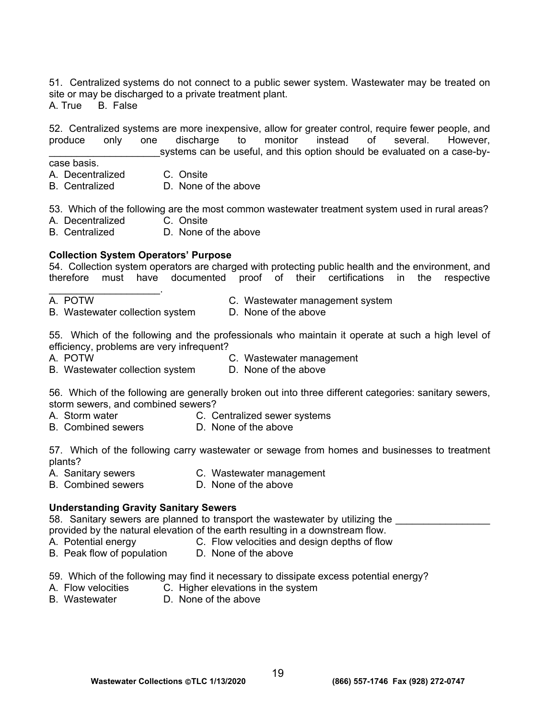51. Centralized systems do not connect to a public sewer system. Wastewater may be treated on site or may be discharged to a private treatment plant. A. True B. False

52. Centralized systems are more inexpensive, allow for greater control, require fewer people, and produce only one discharge to monitor instead of several. However, systems can be useful, and this option should be evaluated on a case-by-

- case basis.
- A. Decentralized C. Onsite
- B. Centralized D. None of the above

53. Which of the following are the most common wastewater treatment system used in rural areas?

- A. Decentralized C. Onsite
- B. Centralized D. None of the above

#### **Collection System Operators' Purpose**

54. Collection system operators are charged with protecting public health and the environment, and therefore must have documented proof of their certifications in the respective

 $\mathcal{L}_\text{max}$  and  $\mathcal{L}_\text{max}$  and  $\mathcal{L}_\text{max}$ 

A. POTW C. Wastewater management system B. Wastewater collection system D. None of the above

55. Which of the following and the professionals who maintain it operate at such a high level of efficiency, problems are very infrequent?

- 
- A. POTW C. Wastewater management
- B. Wastewater collection system D. None of the above

56. Which of the following are generally broken out into three different categories: sanitary sewers, storm sewers, and combined sewers?

- A. Storm water C. Centralized sewer systems
- B. Combined sewers D. None of the above

57. Which of the following carry wastewater or sewage from homes and businesses to treatment plants?

- A. Sanitary sewers C. Wastewater management
- B. Combined sewers D. None of the above

#### **Understanding Gravity Sanitary Sewers**

58. Sanitary sewers are planned to transport the wastewater by utilizing the provided by the natural elevation of the earth resulting in a downstream flow.<br>A. Potential energy C. Flow velocities and design depths of flow

- 
- C. Flow velocities and design depths of flow B. Peak flow of population D. None of the above
- 59. Which of the following may find it necessary to dissipate excess potential energy?
- A. Flow velocities C. Higher elevations in the system<br>B. Wastewater D. None of the above
- D. None of the above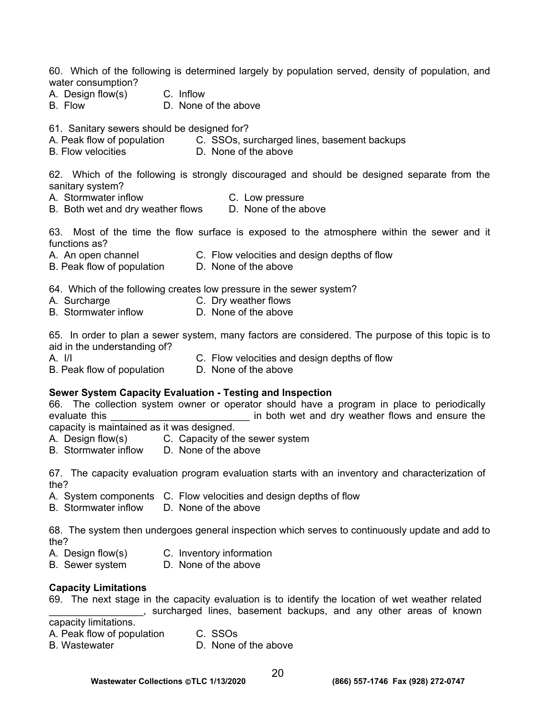60. Which of the following is determined largely by population served, density of population, and water consumption?

- A. Design flow(s) C. Inflow
- B. Flow D. None of the above

- 61. Sanitary sewers should be designed for?<br>A. Peak flow of population C. SSOs, su C. SSOs, surcharged lines, basement backups
- B. Flow velocities **D.** None of the above

62. Which of the following is strongly discouraged and should be designed separate from the sanitary system?

- A. Stormwater inflow C. Low pressure
- B. Both wet and dry weather flows D. None of the above

63. Most of the time the flow surface is exposed to the atmosphere within the sewer and it functions as?

- A. An open channel C. Flow velocities and design depths of flow
- B. Peak flow of population D. None of the above

64. Which of the following creates low pressure in the sewer system?

- 
- A. Surcharge C. Dry weather flows
- B. Stormwater inflow D. None of the above

65. In order to plan a sewer system, many factors are considered. The purpose of this topic is to aid in the understanding of?

- 
- A. I/I C. Flow velocities and design depths of flow
- B. Peak flow of population D. None of the above

# **Sewer System Capacity Evaluation - Testing and Inspection**

66. The collection system owner or operator should have a program in place to periodically evaluate this **EXECUTE:** The both wet and dry weather flows and ensure the capacity is maintained as it was designed.

- 
- A. Design flow(s) C. Capacity of the sewer system<br>B. Stormwater inflow D. None of the above B. Stormwater inflow

67. The capacity evaluation program evaluation starts with an inventory and characterization of the?

- A. System components C. Flow velocities and design depths of flow
- B. Stormwater inflow D. None of the above

68. The system then undergoes general inspection which serves to continuously update and add to the?

- A. Design flow(s) C. Inventory information
- B. Sewer system D. None of the above

# **Capacity Limitations**

69. The next stage in the capacity evaluation is to identify the location of wet weather related \_\_\_\_\_\_\_\_\_\_\_\_\_\_\_\_\_, surcharged lines, basement backups, and any other areas of known

capacity limitations.

- A. Peak flow of population C. SSOs
- B. Wastewater **D. None of the above**
-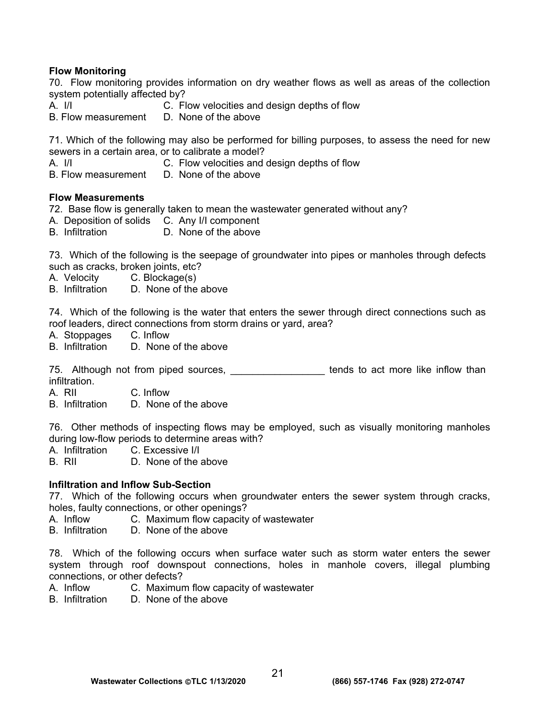### **Flow Monitoring**

70. Flow monitoring provides information on dry weather flows as well as areas of the collection system potentially affected by?<br>A. I/I C. FI

C. Flow velocities and design depths of flow

B. Flow measurement D. None of the above

71. Which of the following may also be performed for billing purposes, to assess the need for new sewers in a certain area, or to calibrate a model?

A. I/I C. Flow velocities and design depths of flow

B. Flow measurement D. None of the above

### **Flow Measurements**

72. Base flow is generally taken to mean the wastewater generated without any?

- A. Deposition of solids C. Any I/I component
- B. Infiltration D. None of the above

73. Which of the following is the seepage of groundwater into pipes or manholes through defects such as cracks, broken joints, etc?

- A. Velocity C. Blockage(s)
- B. Infiltration D. None of the above

74. Which of the following is the water that enters the sewer through direct connections such as roof leaders, direct connections from storm drains or yard, area?

A. Stoppages C. Inflow

B. Infiltration D. None of the above

75. Although not from piped sources, \_\_\_\_\_\_\_\_\_\_\_\_\_\_\_\_ tends to act more like inflow than infiltration.

A. RII C. Inflow

B. Infiltration D. None of the above

76. Other methods of inspecting flows may be employed, such as visually monitoring manholes during low-flow periods to determine areas with?

- A. Infiltration C. Excessive I/I
- B. RII D. None of the above

#### **Infiltration and Inflow Sub-Section**

77. Which of the following occurs when groundwater enters the sewer system through cracks, holes, faulty connections, or other openings?

A. Inflow C. Maximum flow capacity of wastewater

B. Infiltration D. None of the above

78. Which of the following occurs when surface water such as storm water enters the sewer system through roof downspout connections, holes in manhole covers, illegal plumbing connections, or other defects?

- A. Inflow C. Maximum flow capacity of wastewater
- B. Infiltration D. None of the above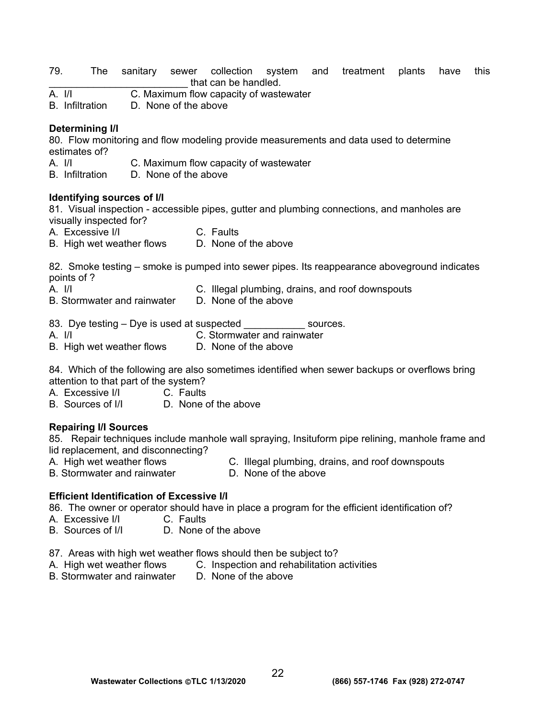- 79. The sanitary sewer collection system and treatment plants have this The that can be handled.<br>
A. I/I C. Maximum flow canacity of waste
- C. Maximum flow capacity of wastewater
- B. Infiltration D. None of the above

#### **Determining I/I**

80. Flow monitoring and flow modeling provide measurements and data used to determine estimates of?

- A. I/I C. Maximum flow capacity of wastewater
- B. Infiltration D. None of the above

#### **Identifying sources of I/I**

81. Visual inspection - accessible pipes, gutter and plumbing connections, and manholes are visually inspected for?

- A. Excessive I/I C. Faults
- B. High wet weather flows D. None of the above

82. Smoke testing – smoke is pumped into sewer pipes. Its reappearance aboveground indicates points of ?

- 
- A. I/I C. Illegal plumbing, drains, and roof downspouts
- B. Stormwater and rainwater D. None of the above
- 83. Dye testing Dye is used at suspected \_\_\_\_\_\_\_\_\_\_\_\_\_ sources.
- A. I/I C. Stormwater and rainwater
- B. High wet weather flows D. None of the above

84. Which of the following are also sometimes identified when sewer backups or overflows bring attention to that part of the system?

- A. Excessive I/I C. Faults
- B. Sources of I/I D. None of the above

#### **Repairing I/I Sources**

85. Repair techniques include manhole wall spraying, Insituform pipe relining, manhole frame and lid replacement, and disconnecting?

- A. High wet weather flows C. Illegal plumbing, drains, and roof downspouts
- B. Stormwater and rainwater **D. None of the above**
- -

#### **Efficient Identification of Excessive I/I**

86. The owner or operator should have in place a program for the efficient identification of?

- A. Excessive I/I C. Faults
- B. Sources of I/I D. None of the above
- 87. Areas with high wet weather flows should then be subject to?
- A. High wet weather flows C. Inspection and rehabilitation activities
- B. Stormwater and rainwater D. None of the above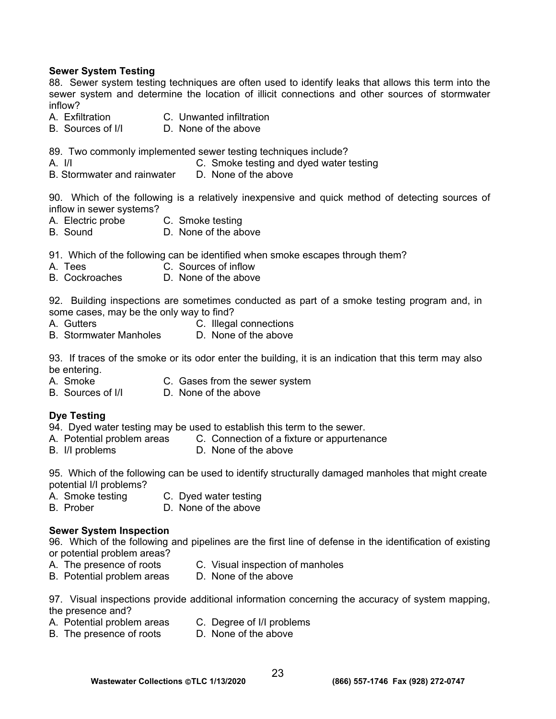#### **Sewer System Testing**

88. Sewer system testing techniques are often used to identify leaks that allows this term into the sewer system and determine the location of illicit connections and other sources of stormwater inflow?

- A. Exfiltration C. Unwanted infiltration
- B. Sources of I/I D. None of the above

89. Two commonly implemented sewer testing techniques include?

- A. I/I C. Smoke testing and dyed water testing
- B. Stormwater and rainwater D. None of the above

90. Which of the following is a relatively inexpensive and quick method of detecting sources of inflow in sewer systems?

- A. Electric probe C. Smoke testing
- B. Sound D. None of the above
- 91. Which of the following can be identified when smoke escapes through them?
- A. Tees C. Sources of inflow
- B. Cockroaches D. None of the above

92. Building inspections are sometimes conducted as part of a smoke testing program and, in some cases, may be the only way to find?

- A. Gutters C. Illegal connections
- B. Stormwater Manholes D. None of the above

93. If traces of the smoke or its odor enter the building, it is an indication that this term may also be entering.

- A. Smoke C. Gases from the sewer system
- B. Sources of  $\vert/\vert$  D. None of the above

#### **Dye Testing**

- 94. Dyed water testing may be used to establish this term to the sewer.
- A. Potential problem areas C. Connection of a fixture or appurtenance
- B. I/I problems D. None of the above

95. Which of the following can be used to identify structurally damaged manholes that might create potential I/I problems?

- A. Smoke testing C. Dyed water testing
- B. Prober D. None of the above

#### **Sewer System Inspection**

96. Which of the following and pipelines are the first line of defense in the identification of existing or potential problem areas?

- 
- A. The presence of roots C. Visual inspection of manholes
- B. Potential problem areas D. None of the above
- 97. Visual inspections provide additional information concerning the accuracy of system mapping, the presence and?
- A. Potential problem areas C. Degree of I/I problems
- B. The presence of roots D. None of the above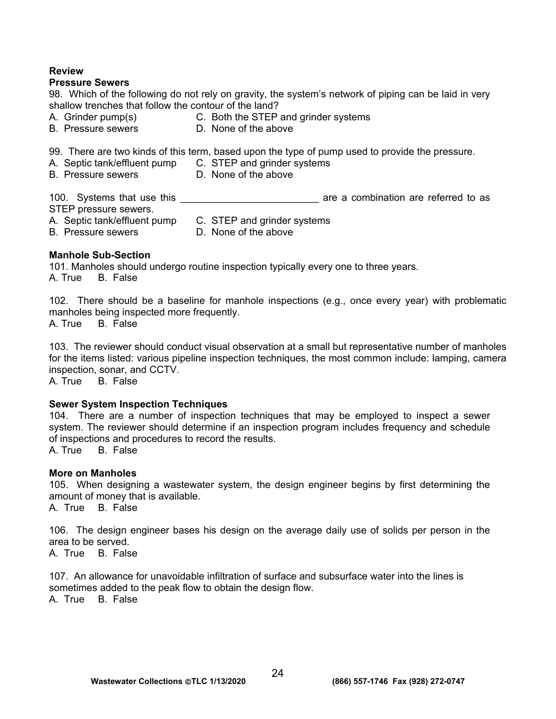#### **Review**

#### **Pressure Sewers**

98. Which of the following do not rely on gravity, the system's network of piping can be laid in very shallow trenches that follow the contour of the land?

- A. Grinder pump(s) C. Both the STEP and grinder systems
- B. Pressure sewers **D.** None of the above

99. There are two kinds of this term, based upon the type of pump used to provide the pressure.

- A. Septic tank/effluent pump C. STEP and grinder systems
- B. Pressure sewers **D. None of the above** 
	-

100. Systems that use this **that is a set of the set of the set of the set of the set of the set of the set of t** STEP pressure sewers. A. Septic tank/effluent pump C. STEP and grinder systems

B. Pressure sewers **D. None of the above** 

### **Manhole Sub-Section**

101. Manholes should undergo routine inspection typically every one to three years. A. True B. False

102. There should be a baseline for manhole inspections (e.g., once every year) with problematic manholes being inspected more frequently. A. True B. False

103. The reviewer should conduct visual observation at a small but representative number of manholes for the items listed: various pipeline inspection techniques, the most common include: lamping, camera inspection, sonar, and CCTV.

A. True B. False

#### **Sewer System Inspection Techniques**

104. There are a number of inspection techniques that may be employed to inspect a sewer system. The reviewer should determine if an inspection program includes frequency and schedule of inspections and procedures to record the results.

A. True B. False

#### **More on Manholes**

105. When designing a wastewater system, the design engineer begins by first determining the amount of money that is available.

A. True B. False

106. The design engineer bases his design on the average daily use of solids per person in the area to be served.

A. True B. False

107. An allowance for unavoidable infiltration of surface and subsurface water into the lines is sometimes added to the peak flow to obtain the design flow. A. True B. False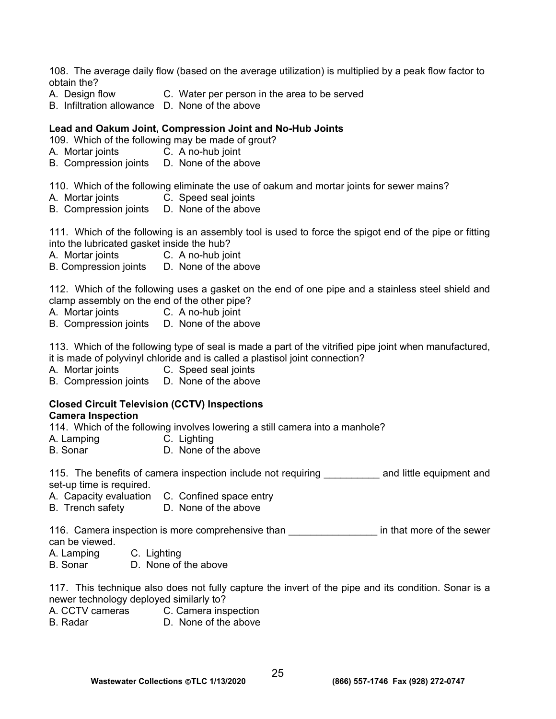108. The average daily flow (based on the average utilization) is multiplied by a peak flow factor to obtain the?

- A. Design flow C. Water per person in the area to be served
- B. Infiltration allowance D. None of the above

#### **Lead and Oakum Joint, Compression Joint and No-Hub Joints**

109. Which of the following may be made of grout?

- A. Mortar joints C. A no-hub joint
- B. Compression joints D. None of the above

110. Which of the following eliminate the use of oakum and mortar joints for sewer mains?

- A. Mortar joints C. Speed seal joints
- B. Compression joints D. None of the above

111. Which of the following is an assembly tool is used to force the spigot end of the pipe or fitting into the lubricated gasket inside the hub?

A. Mortar joints C. A no-hub joint

B. Compression joints D. None of the above

112. Which of the following uses a gasket on the end of one pipe and a stainless steel shield and clamp assembly on the end of the other pipe?

- A. Mortar joints C. A no-hub joint
- B. Compression joints D. None of the above

113. Which of the following type of seal is made a part of the vitrified pipe joint when manufactured, it is made of polyvinyl chloride and is called a plastisol joint connection?

A. Mortar joints C. Speed seal joints

B. Compression joints D. None of the above

#### **Closed Circuit Television (CCTV) Inspections Camera Inspection**

114. Which of the following involves lowering a still camera into a manhole?<br>A. Lamping C. Lighting

- 
- A. Lamping C. Lighting<br>B. Sonar D. None of D. None of the above

115. The benefits of camera inspection include not requiring The and little equipment and set-up time is required.

- A. Capacity evaluation C. Confined space entry
- B. Trench safety D. None of the above

116. Camera inspection is more comprehensive than **the sensul in that more of the sewer** can be viewed.

- A. Lamping C. Lighting
- B. Sonar D. None of the above

117. This technique also does not fully capture the invert of the pipe and its condition. Sonar is a newer technology deployed similarly to?

- A. CCTV cameras C. Camera inspection
- B. Radar D. None of the above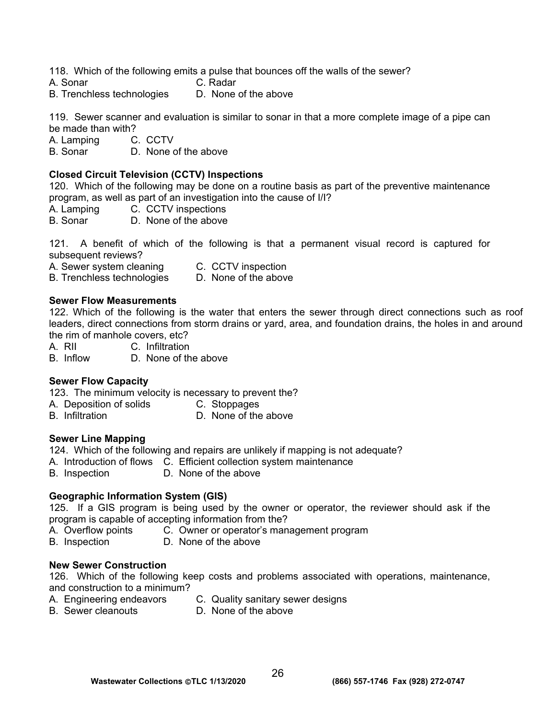118. Which of the following emits a pulse that bounces off the walls of the sewer?

- A. Sonar C. Radar
- B. Trenchless technologies D. None of the above

119. Sewer scanner and evaluation is similar to sonar in that a more complete image of a pipe can be made than with?

A. Lamping C. CCTV

B. Sonar D. None of the above

### **Closed Circuit Television (CCTV) Inspections**

120. Which of the following may be done on a routine basis as part of the preventive maintenance program, as well as part of an investigation into the cause of I/I?

- A. Lamping C. CCTV inspections
- B. Sonar D. None of the above

121. A benefit of which of the following is that a permanent visual record is captured for subsequent reviews?

A. Sewer system cleaning C. CCTV inspection

B. Trenchless technologies D. None of the above

#### **Sewer Flow Measurements**

122. Which of the following is the water that enters the sewer through direct connections such as roof leaders, direct connections from storm drains or yard, area, and foundation drains, the holes in and around the rim of manhole covers, etc?

A. RII C. Infiltration

B. Inflow D. None of the above

#### **Sewer Flow Capacity**

123. The minimum velocity is necessary to prevent the?

- A. Deposition of solids C. Stoppages<br>B. Infiltration C. None of the
- D. None of the above

#### **Sewer Line Mapping**

124. Which of the following and repairs are unlikely if mapping is not adequate?

- A. Introduction of flows C. Efficient collection system maintenance
- B. Inspection D. None of the above

#### **Geographic Information System (GIS)**

125. If a GIS program is being used by the owner or operator, the reviewer should ask if the program is capable of accepting information from the?

- A. Overflow points C. Owner or operator's management program
- B. Inspection D. None of the above

#### **New Sewer Construction**

126. Which of the following keep costs and problems associated with operations, maintenance, and construction to a minimum?

- A. Engineering endeavors C. Quality sanitary sewer designs
	-
- B. Sewer cleanouts D. None of the above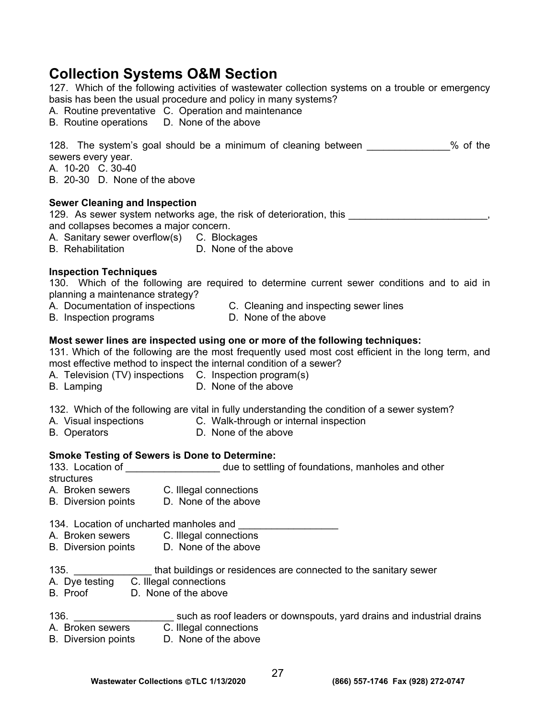# **Collection Systems O&M Section**

127. Which of the following activities of wastewater collection systems on a trouble or emergency basis has been the usual procedure and policy in many systems?

A. Routine preventative C. Operation and maintenance

B. Routine operations D. None of the above

| 128. The system's goal should be a minimum of cleaning between |  |  |  |  | $%$ of the |  |
|----------------------------------------------------------------|--|--|--|--|------------|--|
| sewers every year.                                             |  |  |  |  |            |  |

A. 10-20 C. 30-40

B. 20-30 D. None of the above

### **Sewer Cleaning and Inspection**

129. As sewer system networks age, the risk of deterioration, this \_\_\_\_\_\_\_\_\_\_\_\_\_ and collapses becomes a major concern.

A. Sanitary sewer overflow(s) C. Blockages

B. Rehabilitation D. None of the above

### **Inspection Techniques**

130. Which of the following are required to determine current sewer conditions and to aid in planning a maintenance strategy?

- A. Documentation of inspections C. Cleaning and inspecting sewer lines
- B. Inspection programs D. None of the above
- 

### **Most sewer lines are inspected using one or more of the following techniques:**

131. Which of the following are the most frequently used most cost efficient in the long term, and most effective method to inspect the internal condition of a sewer?

- A. Television (TV) inspections C. Inspection program(s)
	-
- B. Lamping D. None of the above
	-

132. Which of the following are vital in fully understanding the condition of a sewer system?

- A. Visual inspections C. Walk-through or internal inspection
- B. Operators D. None of the above

#### **Smoke Testing of Sewers is Done to Determine:**

133. Location of \_\_\_\_\_\_\_\_\_\_\_\_\_\_\_\_\_\_\_\_ due to settling of foundations, manholes and other structures

- A. Broken sewers C. Illegal connections<br>B. Diversion points D. None of the above
- B. Diversion points

134. Location of uncharted manholes and

- A. Broken sewers C. Illegal connections
- B. Diversion points D. None of the above
- 135. **Example 135.** That buildings or residences are connected to the sanitary sewer
- A. Dye testing C. Illegal connections
- B. Proof D. None of the above
- 136. **Example 31 Study as 1998** such as roof leaders or downspouts, yard drains and industrial drains A. Broken sewers C. Illegal connections
- B. Diversion points D. None of the above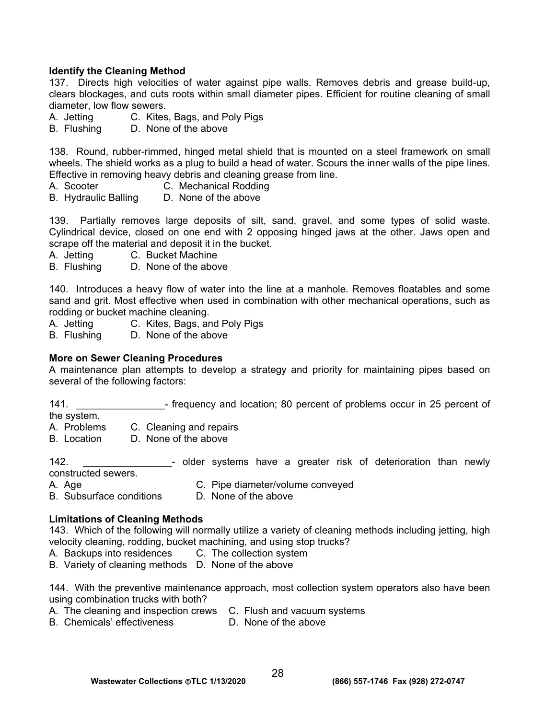#### **Identify the Cleaning Method**

137. Directs high velocities of water against pipe walls. Removes debris and grease build-up, clears blockages, and cuts roots within small diameter pipes. Efficient for routine cleaning of small diameter, low flow sewers.

- A. Jetting C. Kites, Bags, and Poly Pigs
- B. Flushing D. None of the above

138. Round, rubber-rimmed, hinged metal shield that is mounted on a steel framework on small wheels. The shield works as a plug to build a head of water. Scours the inner walls of the pipe lines. Effective in removing heavy debris and cleaning grease from line.

- A. Scooter C. Mechanical Rodding
- B. Hydraulic Balling D. None of the above

139. Partially removes large deposits of silt, sand, gravel, and some types of solid waste. Cylindrical device, closed on one end with 2 opposing hinged jaws at the other. Jaws open and scrape off the material and deposit it in the bucket.

- A. Jetting C. Bucket Machine
- B. Flushing D. None of the above

140. Introduces a heavy flow of water into the line at a manhole. Removes floatables and some sand and grit. Most effective when used in combination with other mechanical operations, such as rodding or bucket machine cleaning.

- A. Jetting C. Kites, Bags, and Poly Pigs
- B. Flushing D. None of the above

#### **More on Sewer Cleaning Procedures**

A maintenance plan attempts to develop a strategy and priority for maintaining pipes based on several of the following factors:

141. \_\_\_\_\_\_\_\_\_\_\_\_\_\_\_\_- frequency and location; 80 percent of problems occur in 25 percent of the system.

A. Problems C. Cleaning and repairs

B. Location D. None of the above

142. \_\_\_\_\_\_\_\_\_\_\_\_\_\_\_\_- older systems have a greater risk of deterioration than newly constructed sewers.

- A. Age **C. Pipe diameter/volume conveyed**
- B. Subsurface conditions D. None of the above

#### **Limitations of Cleaning Methods**

143. Which of the following will normally utilize a variety of cleaning methods including jetting, high velocity cleaning, rodding, bucket machining, and using stop trucks?

- A. Backups into residences C. The collection system
- B. Variety of cleaning methods D. None of the above

144. With the preventive maintenance approach, most collection system operators also have been using combination trucks with both?

- A. The cleaning and inspection crews C. Flush and vacuum systems
- B. Chemicals' effectiveness D. None of the above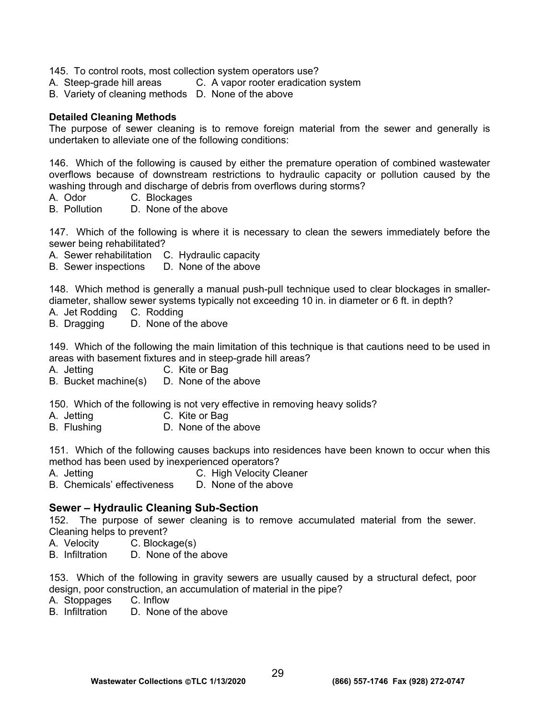145. To control roots, most collection system operators use?

- A. Steep-grade hill areas C. A vapor rooter eradication system
- B. Variety of cleaning methods D. None of the above

#### **Detailed Cleaning Methods**

The purpose of sewer cleaning is to remove foreign material from the sewer and generally is undertaken to alleviate one of the following conditions:

146. Which of the following is caused by either the premature operation of combined wastewater overflows because of downstream restrictions to hydraulic capacity or pollution caused by the washing through and discharge of debris from overflows during storms?

- A. Odor C. Blockages
- B. Pollution D. None of the above

147. Which of the following is where it is necessary to clean the sewers immediately before the sewer being rehabilitated?

A. Sewer rehabilitation C. Hydraulic capacity

B. Sewer inspections D. None of the above

148. Which method is generally a manual push-pull technique used to clear blockages in smallerdiameter, shallow sewer systems typically not exceeding 10 in. in diameter or 6 ft. in depth?

- A. Jet Rodding C. Rodding
- B. Dragging D. None of the above

149. Which of the following the main limitation of this technique is that cautions need to be used in areas with basement fixtures and in steep-grade hill areas?

A. Jetting C. Kite or Bag

B.Bucket machine(s) D. None of the above

150. Which of the following is not very effective in removing heavy solids?

- A. Jetting C. Kite or Bag
- B. Flushing **D.** None of the above

151. Which of the following causes backups into residences have been known to occur when this method has been used by inexperienced operators?

- A. Jetting C. High Velocity Cleaner
- B. Chemicals' effectiveness D. None of the above

# **Sewer – Hydraulic Cleaning Sub-Section**

152. The purpose of sewer cleaning is to remove accumulated material from the sewer. Cleaning helps to prevent?

- A. Velocity C. Blockage(s)
- B. Infiltration D. None of the above

153. Which of the following in gravity sewers are usually caused by a structural defect, poor design, poor construction, an accumulation of material in the pipe?

- A. Stoppages C. Inflow
- B. Infiltration D. None of the above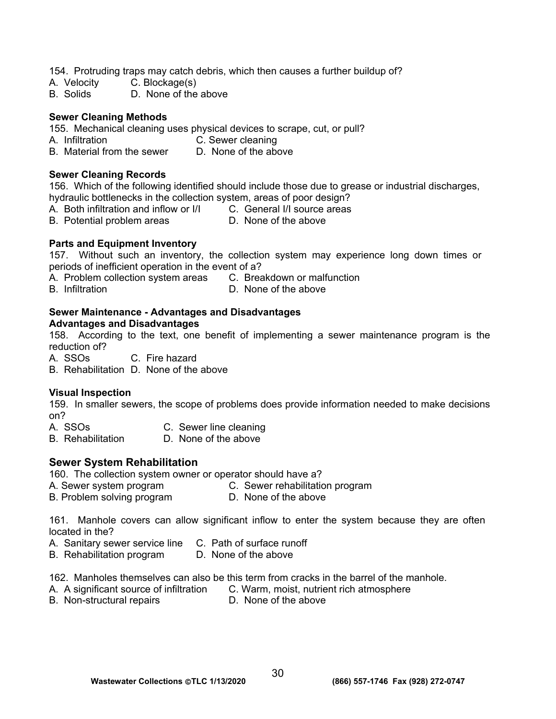154. Protruding traps may catch debris, which then causes a further buildup of?

- A. Velocity C. Blockage(s)
- B. Solids D. None of the above

#### **Sewer Cleaning Methods**

155. Mechanical cleaning uses physical devices to scrape, cut, or pull?

- A. Infiltration C. Sewer cleaning
- B. Material from the sewer D. None of the above

#### **Sewer Cleaning Records**

156. Which of the following identified should include those due to grease or industrial discharges, hydraulic bottlenecks in the collection system, areas of poor design?

- A. Both infiltration and inflow or I/I C. General I/I source areas
- B. Potential problem areas **D.** None of the above

#### **Parts and Equipment Inventory**

157. Without such an inventory, the collection system may experience long down times or periods of inefficient operation in the event of a?

- A. Problem collection system areas C. Breakdown or malfunction
- B. Infiltration D. None of the above

# **Sewer Maintenance - Advantages and Disadvantages**

**Advantages and Disadvantages** 

158. According to the text, one benefit of implementing a sewer maintenance program is the reduction of?

A. SSOs C. Fire hazard

B. Rehabilitation D. None of the above

#### **Visual Inspection**

159. In smaller sewers, the scope of problems does provide information needed to make decisions on?

- A. SSOs C. Sewer line cleaning
- B. Rehabilitation D. None of the above

#### **Sewer System Rehabilitation**

- 160. The collection system owner or operator should have a?
- A. Sewer system program C. Sewer rehabilitation program<br>B. Problem solving program D. None of the above
- B. Problem solving program

161. Manhole covers can allow significant inflow to enter the system because they are often located in the?

- A. Sanitary sewer service line C. Path of surface runoff
- B. Rehabilitation program D. None of the above

162. Manholes themselves can also be this term from cracks in the barrel of the manhole.

- A. A significant source of infiltration C. Warm, moist, nutrient rich atmosphere
	-
- B. Non-structural repairs **D.** None of the above
-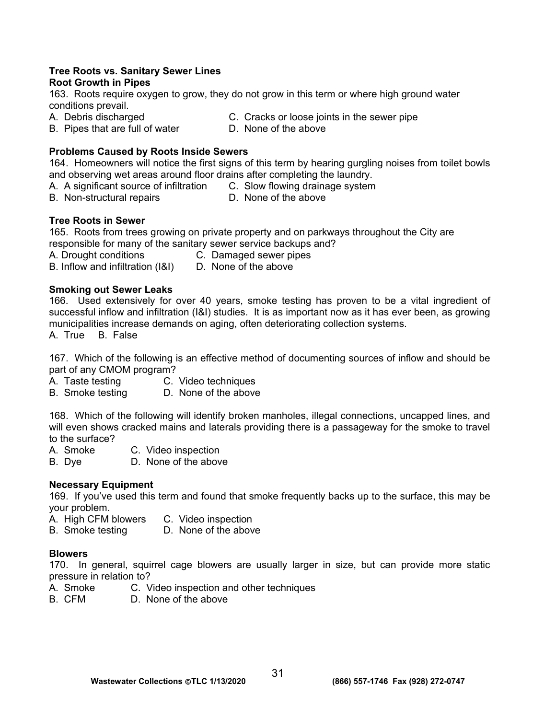# **Tree Roots vs. Sanitary Sewer Lines**

### **Root Growth in Pipes**

163. Roots require oxygen to grow, they do not grow in this term or where high ground water conditions prevail.

- 
- A. Debris discharged C. Cracks or loose joints in the sewer pipe
- B. Pipes that are full of water **D. None of the above**

# **Problems Caused by Roots Inside Sewers**

164. Homeowners will notice the first signs of this term by hearing gurgling noises from toilet bowls and observing wet areas around floor drains after completing the laundry.

- A. A significant source of infiltration C. Slow flowing drainage system
- B. Non-structural repairs **D.** None of the above
- 

# **Tree Roots in Sewer**

165. Roots from trees growing on private property and on parkways throughout the City are responsible for many of the sanitary sewer service backups and?

A. Drought conditions C. Damaged sewer pipes

# B. Inflow and infiltration (I&I) D. None of the above

### **Smoking out Sewer Leaks**

166. Used extensively for over 40 years, smoke testing has proven to be a vital ingredient of successful inflow and infiltration (I&I) studies. It is as important now as it has ever been, as growing municipalities increase demands on aging, often deteriorating collection systems.

A. True B. False

167. Which of the following is an effective method of documenting sources of inflow and should be part of any CMOM program?

- A. Taste testing C. Video techniques
- B. Smoke testing D. None of the above

168. Which of the following will identify broken manholes, illegal connections, uncapped lines, and will even shows cracked mains and laterals providing there is a passageway for the smoke to travel to the surface?<br>A. Smoke

C. Video inspection

B. Dye D. None of the above

# **Necessary Equipment**

169. If you've used this term and found that smoke frequently backs up to the surface, this may be your problem.

- A. High CFM blowers C. Video inspection
- B. Smoke testing D. None of the above

# **Blowers**

170. In general, squirrel cage blowers are usually larger in size, but can provide more static pressure in relation to?

- A. Smoke C. Video inspection and other techniques
- B. CFM D. None of the above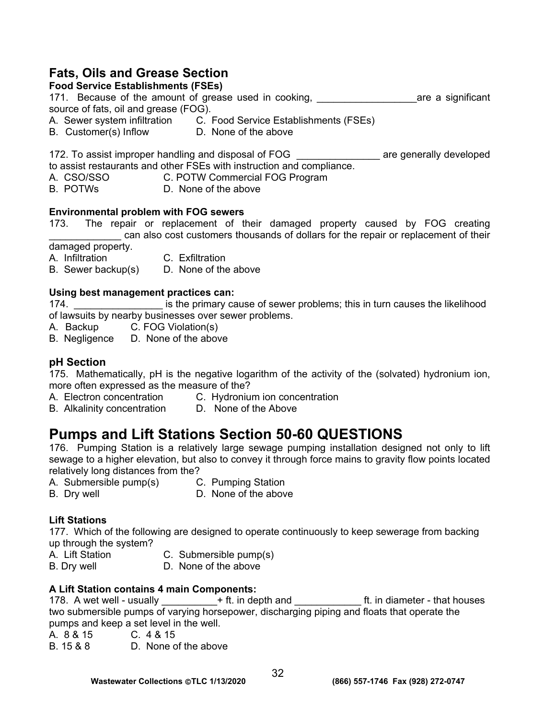# **Fats, Oils and Grease Section**

# **Food Service Establishments (FSEs)**

171. Because of the amount of grease used in cooking, the same a significant source of fats, oil and grease (FOG).

- A. Sewer system infiltration C. Food Service Establishments (FSEs)
- B. Customer(s) Inflow D. None of the above

172. To assist improper handling and disposal of FOG **than a** are generally developed to assist restaurants and other FSEs with instruction and compliance.

- A. CSO/SSO C. POTW Commercial FOG Program
- B. POTWs D. None of the above

### **Environmental problem with FOG sewers**

173. The repair or replacement of their damaged property caused by FOG creating can also cost customers thousands of dollars for the repair or replacement of their

damaged property.

- A. Infiltration C. Exfiltration
- B. Sewer backup(s) D. None of the above

### **Using best management practices can:**

174. **Example 12 Terms** is the primary cause of sewer problems; this in turn causes the likelihood of lawsuits by nearby businesses over sewer problems.

- A. Backup C. FOG Violation(s)
- B. Negligence D. None of the above

# **pH Section**

175. Mathematically, pH is the negative logarithm of the activity of the (solvated) hydronium ion, more often expressed as the measure of the?

- A. Electron concentration C. Hydronium ion concentration
- B. Alkalinity concentration D. None of the Above

# **Pumps and Lift Stations Section 50-60 QUESTIONS**

176. Pumping Station is a relatively large sewage pumping installation designed not only to lift sewage to a higher elevation, but also to convey it through force mains to gravity flow points located relatively long distances from the?

- A. Submersible pump(s) C. Pumping Station
	-
- 
- B. Dry well **B.** D. None of the above

# **Lift Stations**

177. Which of the following are designed to operate continuously to keep sewerage from backing up through the system?

- A. Lift Station C. Submersible pump(s)
- B. Dry well **D.** None of the above

# **A Lift Station contains 4 main Components:**

178. A wet well - usually  $+$  ft. in depth and  $-$  ft. in diameter - that houses two submersible pumps of varying horsepower, discharging piping and floats that operate the pumps and keep a set level in the well.

- A. 8 & 15 C. 4 & 15
- B. 15 & 8 D. None of the above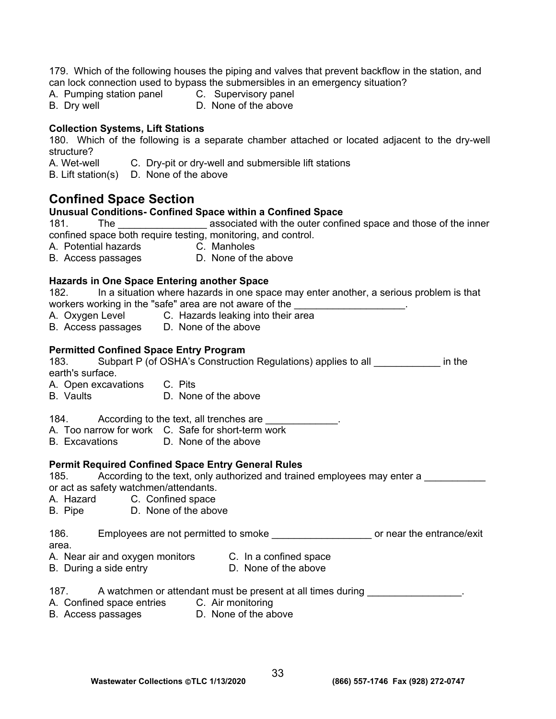179. Which of the following houses the piping and valves that prevent backflow in the station, and can lock connection used to bypass the submersibles in an emergency situation?

- A. Pumping station panel C. Supervisory panel
- 
- 
- B. Dry well **D.** None of the above

### **Collection Systems, Lift Stations**

180. Which of the following is a separate chamber attached or located adjacent to the dry-well structure?

A. Wet-well C. Dry-pit or dry-well and submersible lift stations

B. Lift station(s) D. None of the above

# **Confined Space Section**

### **Unusual Conditions- Confined Space within a Confined Space**

181. The <u>same associated with the outer confined space and those of the inner</u> confined space both require testing, monitoring, and control.

A. Potential hazards C. Manholes

B. Access passages D. None of the above

### **Hazards in One Space Entering another Space**

182. In a situation where hazards in one space may enter another, a serious problem is that workers working in the "safe" area are not aware of the \_\_\_\_\_\_\_\_\_\_\_\_\_\_\_\_\_\_\_\_\_\_\_\_

- A. Oxygen Level C. Hazards leaking into their area
- B. Access passages D. None of the above

### **Permitted Confined Space Entry Program**

183. Subpart P (of OSHA's Construction Regulations) applies to all \_\_\_\_\_\_\_\_\_\_\_\_ in the earth's surface.

- A. Open excavations C. Pits
- B. Vaults D. None of the above
- 184. According to the text, all trenches are \_\_\_\_\_\_\_\_\_\_\_\_\_.
- A. Too narrow for work C. Safe for short-term work
- B. Excavations D. None of the above

#### **Permit Required Confined Space Entry General Rules**

185. According to the text, only authorized and trained employees may enter a or act as safety watchmen/attendants.

- A. Hazard C. Confined space
- B. Pipe D. None of the above

#### 186. Employees are not permitted to smoke \_\_\_\_\_\_\_\_\_\_\_\_\_\_\_\_\_\_ or near the entrance/exit area.

- A. Near air and oxygen monitors C. In a confined space
	-
- B. During a side entry **D.** None of the above
- 187. A watchmen or attendant must be present at all times during
- A. Confined space entries C. Air monitoring
- B. Access passages D. None of the above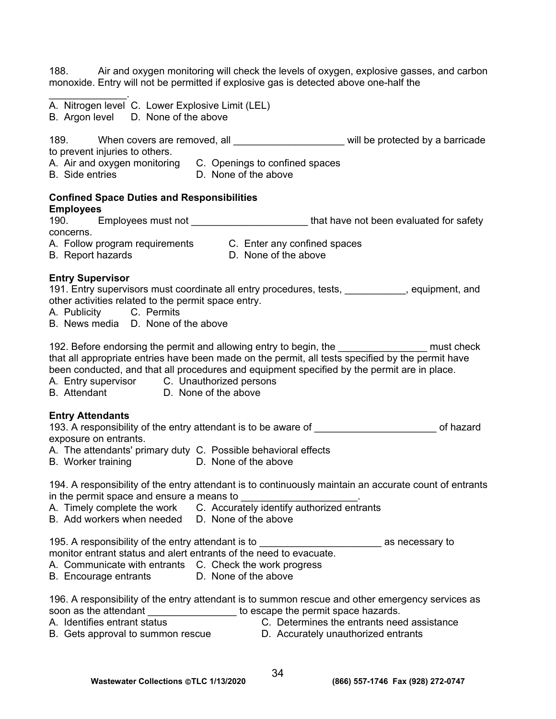188. Air and oxygen monitoring will check the levels of oxygen, explosive gasses, and carbon monoxide. Entry will not be permitted if explosive gas is detected above one-half the

- $\mathcal{L}_\text{max}$  and  $\mathcal{L}_\text{max}$ A. Nitrogen level C. Lower Explosive Limit (LEL)
- B. Argon level D. None of the above

189. When covers are removed, all **the set of the set of the vertex** will be protected by a barricade to prevent injuries to others.

- A. Air and oxygen monitoring C. Openings to confined spaces
- B. Side entries D. None of the above

#### **Confined Space Duties and Responsibilities Employees**

| 190.      | Employees must not                                                                                                                                                                                                                   | that have not been evaluated for safety |  |
|-----------|--------------------------------------------------------------------------------------------------------------------------------------------------------------------------------------------------------------------------------------|-----------------------------------------|--|
| concerns. |                                                                                                                                                                                                                                      |                                         |  |
|           | $\blacksquare$ . The contract of the contract of the contract of the contract of the contract of the contract of the contract of the contract of the contract of the contract of the contract of the contract of the contract of the |                                         |  |

A. Follow program requirements C. Enter any confined spaces

B. Report hazards **B.** D. None of the above

### **Entry Supervisor**

191. Entry supervisors must coordinate all entry procedures, tests, \_\_\_\_\_\_\_\_\_\_\_, equipment, and other activities related to the permit space entry.

- A. Publicity C. Permits
- B. News media D. None of the above

192. Before endorsing the permit and allowing entry to begin, the \_\_\_\_\_\_\_\_\_\_\_\_\_\_\_\_\_\_\_ must check that all appropriate entries have been made on the permit, all tests specified by the permit have been conducted, and that all procedures and equipment specified by the permit are in place.

- A. Entry supervisor C. Unauthorized persons
- B. Attendant D. None of the above

#### **Entry Attendants**

193. A responsibility of the entry attendant is to be aware of **with any component of hazard** exposure on entrants.

- A. The attendants' primary duty C. Possible behavioral effects
- B. Worker training **D. None of the above**

194. A responsibility of the entry attendant is to continuously maintain an accurate count of entrants in the permit space and ensure a means to

- A. Timely complete the work C. Accurately identify authorized entrants
- B. Add workers when needed D. None of the above

195. A responsibility of the entry attendant is to \_\_\_\_\_\_\_\_\_\_\_\_\_\_\_\_\_\_\_\_\_\_ as necessary to

monitor entrant status and alert entrants of the need to evacuate.

- A. Communicate with entrants C. Check the work progress
- B. Encourage entrants D. None of the above

196. A responsibility of the entry attendant is to summon rescue and other emergency services as soon as the attendant **the state of the set of the permit space hazards.** 

- A. Identifies entrant status C. Determines the entrants need assistance
- B. Gets approval to summon rescue **D.** Accurately unauthorized entrants